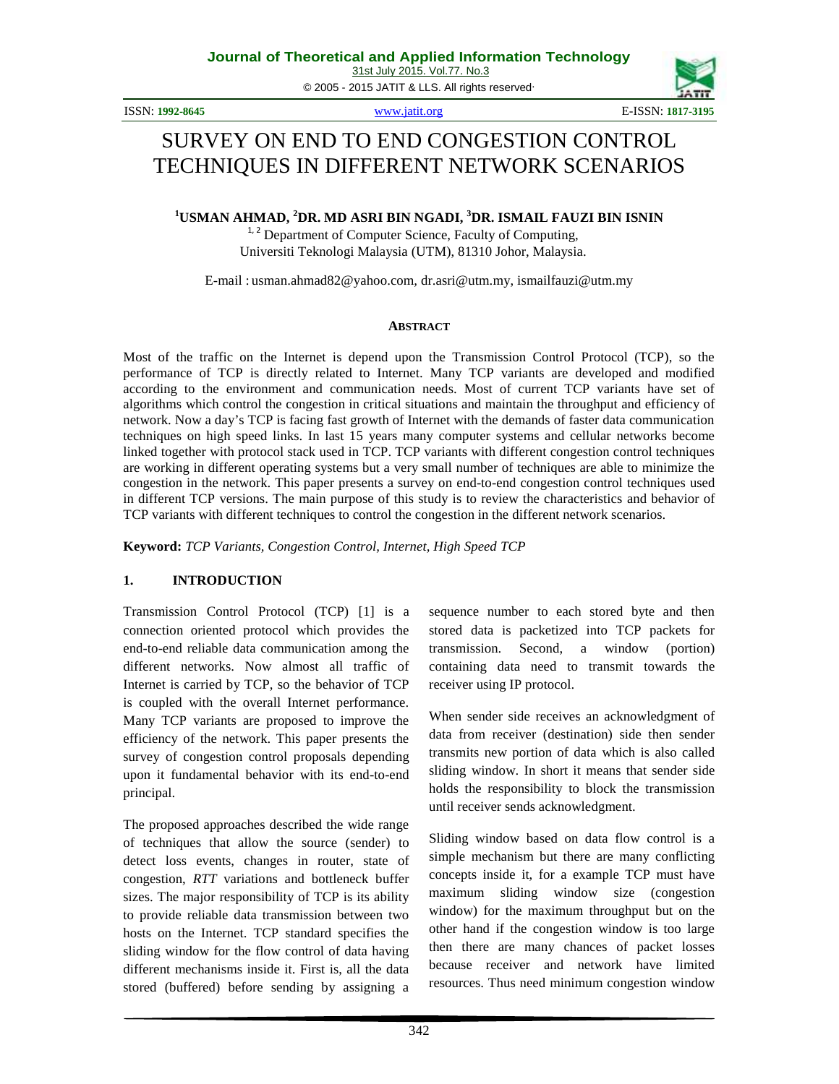© 2005 - 2015 JATIT & LLS. All rights reserved.

ISSN: **1992-8645** www.jatit.org E-ISSN: **1817-3195**



# SURVEY ON END TO END CONGESTION CONTROL TECHNIQUES IN DIFFERENT NETWORK SCENARIOS

**<sup>1</sup>USMAN AHMAD, <sup>2</sup>DR. MD ASRI BIN NGADI, <sup>3</sup>DR. ISMAIL FAUZI BIN ISNIN**

 $1, 2$  Department of Computer Science, Faculty of Computing, Universiti Teknologi Malaysia (UTM), 81310 Johor, Malaysia.

E-mail : usman.ahmad82@yahoo.com*,* dr.asri@utm.my, ismailfauzi@utm.my

### **ABSTRACT**

Most of the traffic on the Internet is depend upon the Transmission Control Protocol (TCP), so the performance of TCP is directly related to Internet. Many TCP variants are developed and modified according to the environment and communication needs. Most of current TCP variants have set of algorithms which control the congestion in critical situations and maintain the throughput and efficiency of network. Now a day's TCP is facing fast growth of Internet with the demands of faster data communication techniques on high speed links. In last 15 years many computer systems and cellular networks become linked together with protocol stack used in TCP. TCP variants with different congestion control techniques are working in different operating systems but a very small number of techniques are able to minimize the congestion in the network. This paper presents a survey on end-to-end congestion control techniques used in different TCP versions. The main purpose of this study is to review the characteristics and behavior of TCP variants with different techniques to control the congestion in the different network scenarios.

**Keyword:** *TCP Variants, Congestion Control, Internet, High Speed TCP*

### **1. INTRODUCTION**

Transmission Control Protocol (TCP) [1] is a connection oriented protocol which provides the end-to-end reliable data communication among the different networks. Now almost all traffic of Internet is carried by TCP, so the behavior of TCP is coupled with the overall Internet performance. Many TCP variants are proposed to improve the efficiency of the network. This paper presents the survey of congestion control proposals depending upon it fundamental behavior with its end-to-end principal.

The proposed approaches described the wide range of techniques that allow the source (sender) to detect loss events, changes in router, state of congestion, *RTT* variations and bottleneck buffer sizes. The major responsibility of TCP is its ability to provide reliable data transmission between two hosts on the Internet. TCP standard specifies the sliding window for the flow control of data having different mechanisms inside it. First is, all the data stored (buffered) before sending by assigning a sequence number to each stored byte and then stored data is packetized into TCP packets for transmission. Second, a window (portion) containing data need to transmit towards the receiver using IP protocol.

When sender side receives an acknowledgment of data from receiver (destination) side then sender transmits new portion of data which is also called sliding window. In short it means that sender side holds the responsibility to block the transmission until receiver sends acknowledgment.

Sliding window based on data flow control is a simple mechanism but there are many conflicting concepts inside it, for a example TCP must have maximum sliding window size (congestion window) for the maximum throughput but on the other hand if the congestion window is too large then there are many chances of packet losses because receiver and network have limited resources. Thus need minimum congestion window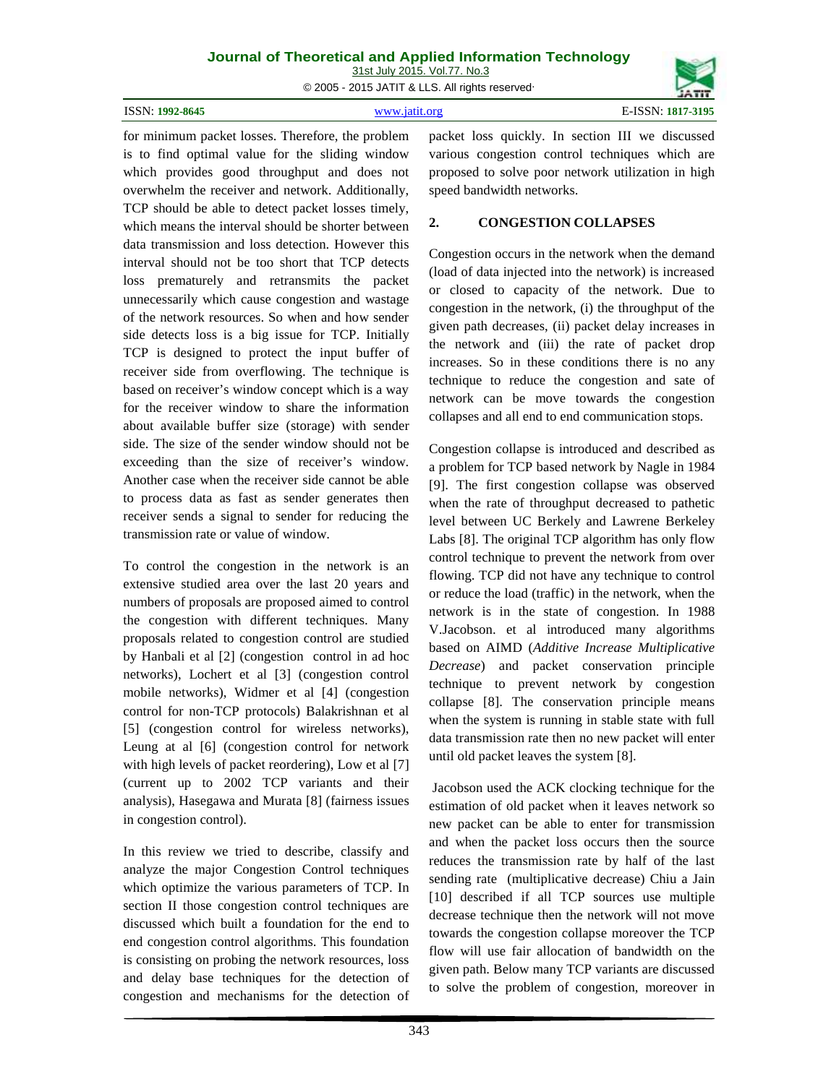| Journal of Theoretical and Applied Information Technology |  |
|-----------------------------------------------------------|--|
| 31st July 2015. Vol.77. No.3                              |  |
| © 2005 - 2015 JATIT & LLS. All rights reserved            |  |
|                                                           |  |

| ISSN: 1992-8645<br>. | www 19f1f oro | E-ISSN: 1817-3195 |
|----------------------|---------------|-------------------|
|                      |               |                   |

for minimum packet losses. Therefore, the problem is to find optimal value for the sliding window which provides good throughput and does not overwhelm the receiver and network. Additionally, TCP should be able to detect packet losses timely,<br>which means the interval should be shorter between  $\frac{2}{3}$ . which means the interval should be shorter between data transmission and loss detection. However this interval should not be too short that TCP detects loss prematurely and retransmits the packet unnecessarily which cause congestion and wastage of the network resources. So when and how sender side detects loss is a big issue for TCP. Initially TCP is designed to protect the input buffer of receiver side from overflowing. The technique is based on receiver's window concept which is a way for the receiver window to share the information about available buffer size (storage) with sender side. The size of the sender window should not be exceeding than the size of receiver's window. Another case when the receiver side cannot be able to process data as fast as sender generates then receiver sends a signal to sender for reducing the transmission rate or value of window.

To control the congestion in the network is an extensive studied area over the last 20 years and numbers of proposals are proposed aimed to control the congestion with different techniques. Many proposals related to congestion control are studied by Hanbali et al [2] (congestion control in ad hoc networks), Lochert et al [3] (congestion control mobile networks), Widmer et al [4] (congestion control for non-TCP protocols) Balakrishnan et al [5] (congestion control for wireless networks), Leung at al [6] (congestion control for network with high levels of packet reordering), Low et al [7] (current up to 2002 TCP variants and their analysis), Hasegawa and Murata [8] (fairness issues in congestion control).

In this review we tried to describe, classify and analyze the major Congestion Control techniques which optimize the various parameters of TCP. In section II those congestion control techniques are discussed which built a foundation for the end to end congestion control algorithms. This foundation is consisting on probing the network resources, loss and delay base techniques for the detection of congestion and mechanisms for the detection of packet loss quickly. In section III we discussed various congestion control techniques which are proposed to solve poor network utilization in high speed bandwidth networks.

## **2. CONGESTION COLLAPSES**

Congestion occurs in the network when the demand (load of data injected into the network) is increased or closed to capacity of the network. Due to congestion in the network, (i) the throughput of the given path decreases, (ii) packet delay increases in the network and (iii) the rate of packet drop increases. So in these conditions there is no any technique to reduce the congestion and sate of network can be move towards the congestion collapses and all end to end communication stops.

Congestion collapse is introduced and described as a problem for TCP based network by Nagle in 1984 [9]. The first congestion collapse was observed when the rate of throughput decreased to pathetic level between UC Berkely and Lawrene Berkeley Labs [8]. The original TCP algorithm has only flow control technique to prevent the network from over flowing. TCP did not have any technique to control or reduce the load (traffic) in the network, when the network is in the state of congestion. In 1988 V.Jacobson. et al introduced many algorithms based on AIMD (*Additive Increase Multiplicative Decrease*) and packet conservation principle technique to prevent network by congestion collapse [8]. The conservation principle means when the system is running in stable state with full data transmission rate then no new packet will enter until old packet leaves the system [8].

Jacobson used the ACK clocking technique for the estimation of old packet when it leaves network so new packet can be able to enter for transmission and when the packet loss occurs then the source reduces the transmission rate by half of the last sending rate (multiplicative decrease) Chiu a Jain [10] described if all TCP sources use multiple decrease technique then the network will not move towards the congestion collapse moreover the TCP flow will use fair allocation of bandwidth on the given path. Below many TCP variants are discussed to solve the problem of congestion, moreover in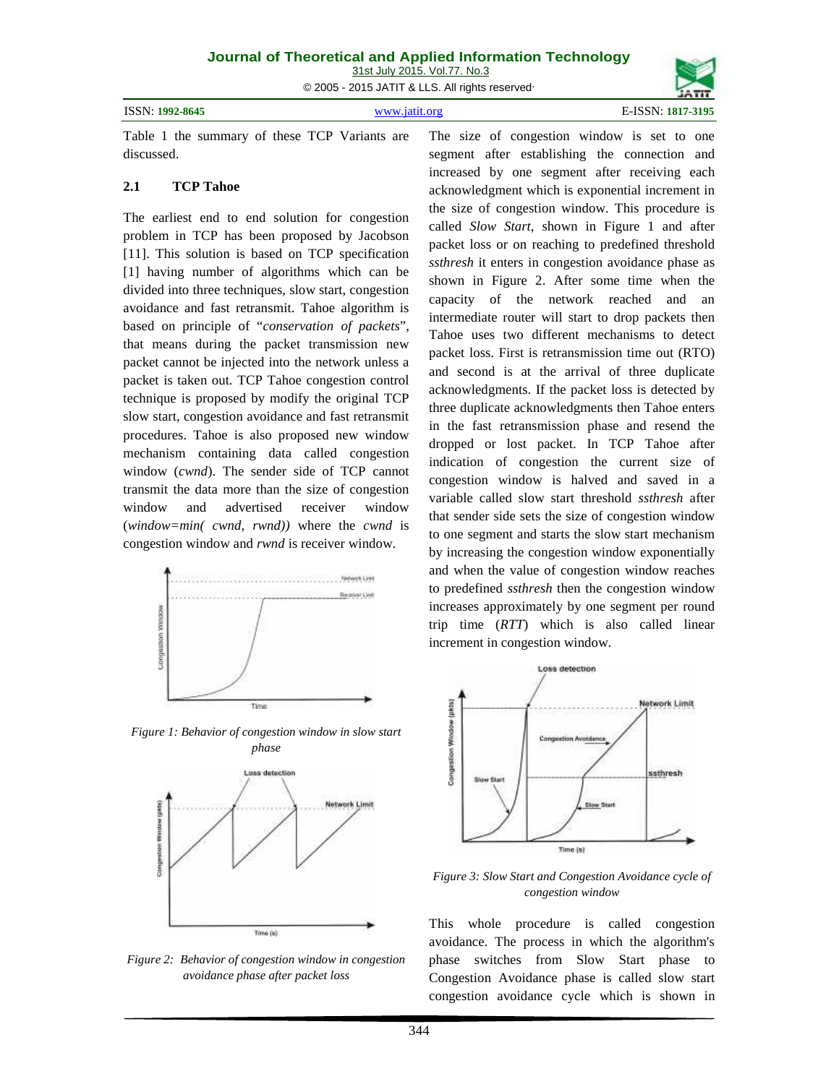© 2005 - 2015 JATIT & LLS. All rights reserved.

| ISSN:<br>1992-8645 | 3195 |
|--------------------|------|
|                    |      |

Table 1 the summary of these TCP Variants are discussed.

### **2.1 TCP Tahoe**

The earliest end to end solution for congestion problem in TCP has been proposed by Jacobson [11]. This solution is based on TCP specification [1] having number of algorithms which can be divided into three techniques, slow start, congestion avoidance and fast retransmit. Tahoe algorithm is based on principle of "*conservation of packets*", that means during the packet transmission new packet cannot be injected into the network unless a packet is taken out. TCP Tahoe congestion control technique is proposed by modify the original TCP slow start, congestion avoidance and fast retransmit procedures. Tahoe is also proposed new window mechanism containing data called congestion window (*cwnd*). The sender side of TCP cannot transmit the data more than the size of congestion window and advertised receiver window (*window=min( cwnd, rwnd))* where the *cwnd* is congestion window and *rwnd* is receiver window.



*Figure 1: Behavior of congestion window in slow start phase*



*Figure 2: Behavior of congestion window in congestion avoidance phase after packet loss*

The size of congestion window is set to one segment after establishing the connection and increased by one segment after receiving each acknowledgment which is exponential increment in the size of congestion window. This procedure is called *Slow Start*, shown in Figure 1 and after packet loss or on reaching to predefined threshold *ssthresh* it enters in congestion avoidance phase as shown in Figure 2. After some time when the capacity of the network reached and an intermediate router will start to drop packets then Tahoe uses two different mechanisms to detect packet loss. First is retransmission time out (RTO) and second is at the arrival of three duplicate acknowledgments. If the packet loss is detected by three duplicate acknowledgments then Tahoe enters in the fast retransmission phase and resend the dropped or lost packet. In TCP Tahoe after indication of congestion the current size of congestion window is halved and saved in a variable called slow start threshold *ssthresh* after that sender side sets the size of congestion window to one segment and starts the slow start mechanism by increasing the congestion window exponentially and when the value of congestion window reaches to predefined *ssthresh* then the congestion window increases approximately by one segment per round trip time (*RTT*) which is also called linear increment in congestion window.



*Figure 3: Slow Start and Congestion Avoidance cycle of congestion window*

This whole procedure is called congestion avoidance. The process in which the algorithm's phase switches from Slow Start phase to Congestion Avoidance phase is called slow start congestion avoidance cycle which is shown in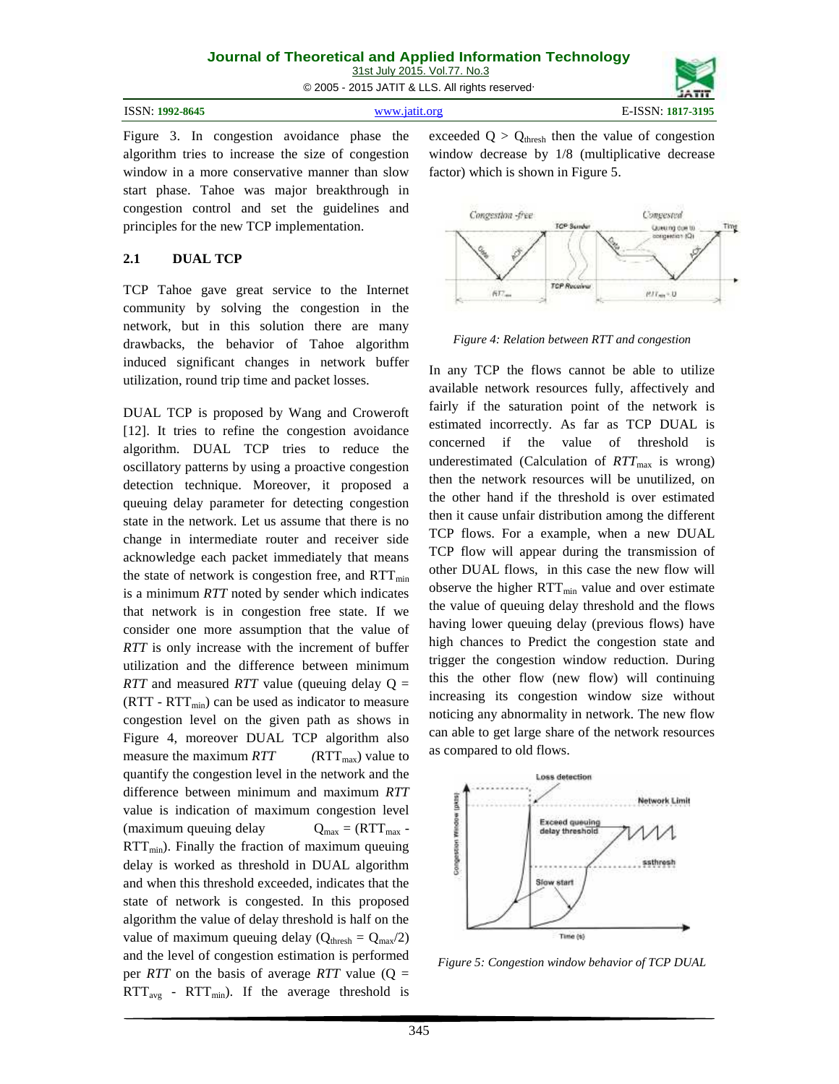| Journal of Theoretical and Applied Information Technology |  |  |  |  |  |
|-----------------------------------------------------------|--|--|--|--|--|
| 31st July 2015, Vol.77, No.3                              |  |  |  |  |  |
| © 2005 - 2015 JATIT & LLS. All rights reserved            |  |  |  |  |  |

| ISSN: 1992-8645<br>. | $\frac{1}{2}$ WWW 1971 org | $F-ISSN+$<br>1817-3195 |
|----------------------|----------------------------|------------------------|
|                      |                            |                        |

Figure 3. In congestion avoidance phase the algorithm tries to increase the size of congestion window in a more conservative manner than slow start phase. Tahoe was major breakthrough in congestion control and set the guidelines and principles for the new TCP implementation.

## **2.1 DUAL TCP**

TCP Tahoe gave great service to the Internet community by solving the congestion in the network, but in this solution there are many drawbacks, the behavior of Tahoe algorithm induced significant changes in network buffer utilization, round trip time and packet losses.

DUAL TCP is proposed by Wang and Croweroft [12]. It tries to refine the congestion avoidance<br>electric produce the concerned algorithm. DUAL TCP tries to reduce the oscillatory patterns by using a proactive congestion detection technique. Moreover, it proposed a queuing delay parameter for detecting congestion state in the network. Let us assume that there is no change in intermediate router and receiver side acknowledge each packet immediately that means the state of network is congestion free, and  $RTT_{min}$ is a minimum *RTT* noted by sender which indicates that network is in congestion free state. If we consider one more assumption that the value of *RTT* is only increase with the increment of buffer utilization and the difference between minimum *RTT* and measured *RTT* value (queuing delay Q =  $(RTT - RTT<sub>min</sub>)$  can be used as indicator to measure congestion level on the given path as shows in Figure 4, moreover DUAL TCP algorithm also measure the maximum  $RTT$  ( $RTT_{max}$ ) value to quantify the congestion level in the network and the difference between minimum and maximum *RTT*<br>value is indication of maximum congestion level<br>(maximum queuing delay  $Q_{max} = (RTT_{max} - RTT_{min})$ . Finally the fraction of maximum queuing<br>delay is worked as threshold in DUAL algorit value is indication of maximum congestion level (maximum queuing delay  $Q_{\text{max}} = (RTT_{\text{max}} RTT<sub>min</sub>$ ). Finally the fraction of maximum queuing delay is worked as threshold in DUAL algorithm and when this threshold exceeded, indicates that the state of network is congested. In this proposed algorithm the value of delay threshold is half on the value of maximum queuing delay ( $Q_{\text{thresh}} = Q_{\text{max}}/2$ ) and the level of congestion estimation is performed per *RTT* on the basis of average *RTT* value  $(Q =$  $RTT_{avg}$  -  $RTT_{min}$ ). If the average threshold is

exceeded  $Q > Q_{\text{thresh}}$  then the value of congestion window decrease by 1/8 (multiplicative decrease factor) which is shown in Figure 5.



*Figure 4: Relation between RTT and congestion*

In any TCP the flows cannot be able to utilize available network resources fully, affectively and fairly if the saturation point of the network is estimated incorrectly. As far as TCP DUAL is if the value of threshold is underestimated (Calculation of  $RTT<sub>max</sub>$  is wrong) then the network resources will be unutilized, on the other hand if the threshold is over estimated then it cause unfair distribution among the different TCP flows. For a example, when a new DUAL TCP flow will appear during the transmission of other DUAL flows, in this case the new flow will observe the higher  $RTT_{min}$  value and over estimate the value of queuing delay threshold and the flows having lower queuing delay (previous flows) have high chances to Predict the congestion state and trigger the congestion window reduction. During this the other flow (new flow) will continuing increasing its congestion window size without noticing any abnormality in network. The new flow can able to get large share of the network resources as compared to old flows.



*Figure 5: Congestion window behavior of TCP DUAL*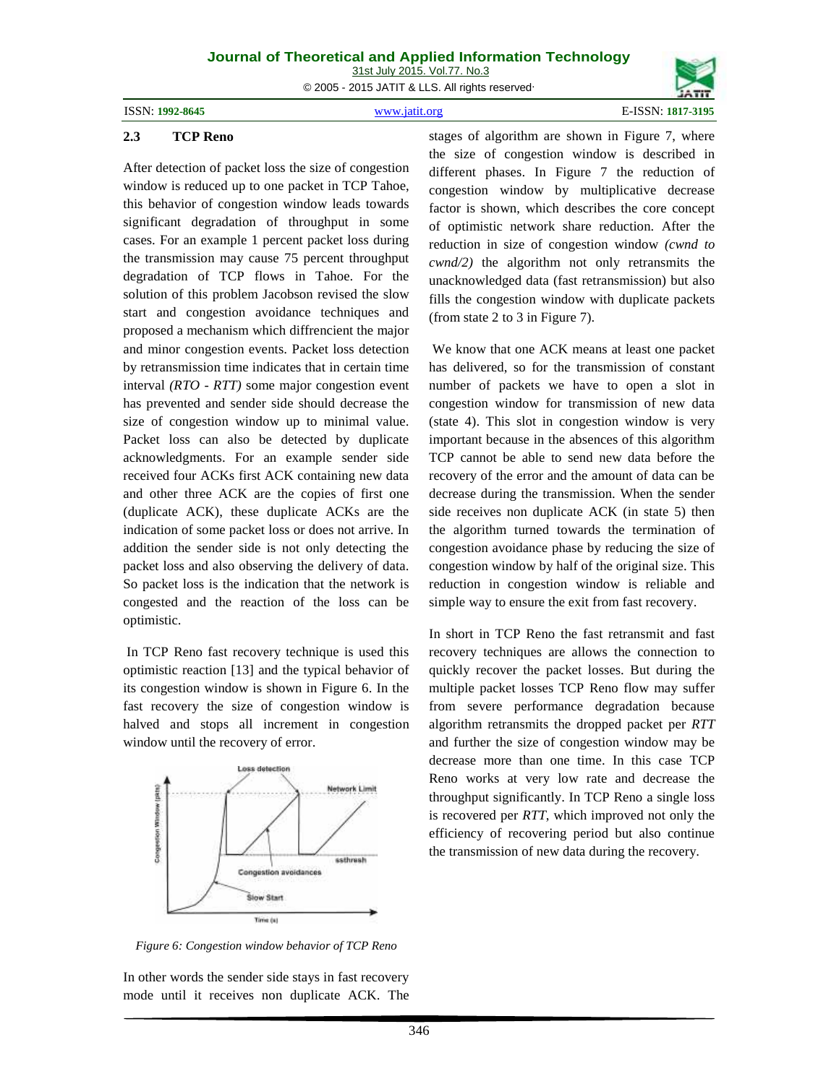ISSN: **1992-8645** www.jatit.org E-ISSN: **1817-3195**



### **2.3 TCP Reno**

After detection of packet loss the size of congestion window is reduced up to one packet in TCP Tahoe, this behavior of congestion window leads towards significant degradation of throughput in some cases. For an example 1 percent packet loss during the transmission may cause 75 percent throughput degradation of TCP flows in Tahoe. For the solution of this problem Jacobson revised the slow start and congestion avoidance techniques and proposed a mechanism which diffrencient the major and minor congestion events. Packet loss detection by retransmission time indicates that in certain time interval *(RTO - RTT)* some major congestion event has prevented and sender side should decrease the size of congestion window up to minimal value. Packet loss can also be detected by duplicate acknowledgments. For an example sender side received four ACKs first ACK containing new data and other three ACK are the copies of first one (duplicate ACK), these duplicate ACKs are the indication of some packet loss or does not arrive. In addition the sender side is not only detecting the packet loss and also observing the delivery of data. So packet loss is the indication that the network is congested and the reaction of the loss can be optimistic.

In TCP Reno fast recovery technique is used this optimistic reaction [13] and the typical behavior of its congestion window is shown in Figure 6. In the fast recovery the size of congestion window is halved and stops all increment in congestion window until the recovery of error.



*Figure 6: Congestion window behavior of TCP Reno*

In other words the sender side stays in fast recovery mode until it receives non duplicate ACK. The stages of algorithm are shown in Figure 7, where the size of congestion window is described in different phases. In Figure 7 the reduction of congestion window by multiplicative decrease factor is shown, which describes the core concept of optimistic network share reduction. After the reduction in size of congestion window *(cwnd to cwnd/2)* the algorithm not only retransmits the unacknowledged data (fast retransmission) but also fills the congestion window with duplicate packets (from state 2 to 3 in Figure 7).

We know that one ACK means at least one packet has delivered, so for the transmission of constant number of packets we have to open a slot in congestion window for transmission of new data (state 4). This slot in congestion window is very important because in the absences of this algorithm TCP cannot be able to send new data before the recovery of the error and the amount of data can be decrease during the transmission. When the sender side receives non duplicate ACK (in state 5) then the algorithm turned towards the termination of congestion avoidance phase by reducing the size of congestion window by half of the original size. This reduction in congestion window is reliable and simple way to ensure the exit from fast recovery.

In short in TCP Reno the fast retransmit and fast recovery techniques are allows the connection to quickly recover the packet losses. But during the multiple packet losses TCP Reno flow may suffer from severe performance degradation because algorithm retransmits the dropped packet per *RTT* and further the size of congestion window may be decrease more than one time. In this case TCP Reno works at very low rate and decrease the throughput significantly. In TCP Reno a single loss is recovered per *RTT*, which improved not only the efficiency of recovering period but also continue the transmission of new data during the recovery.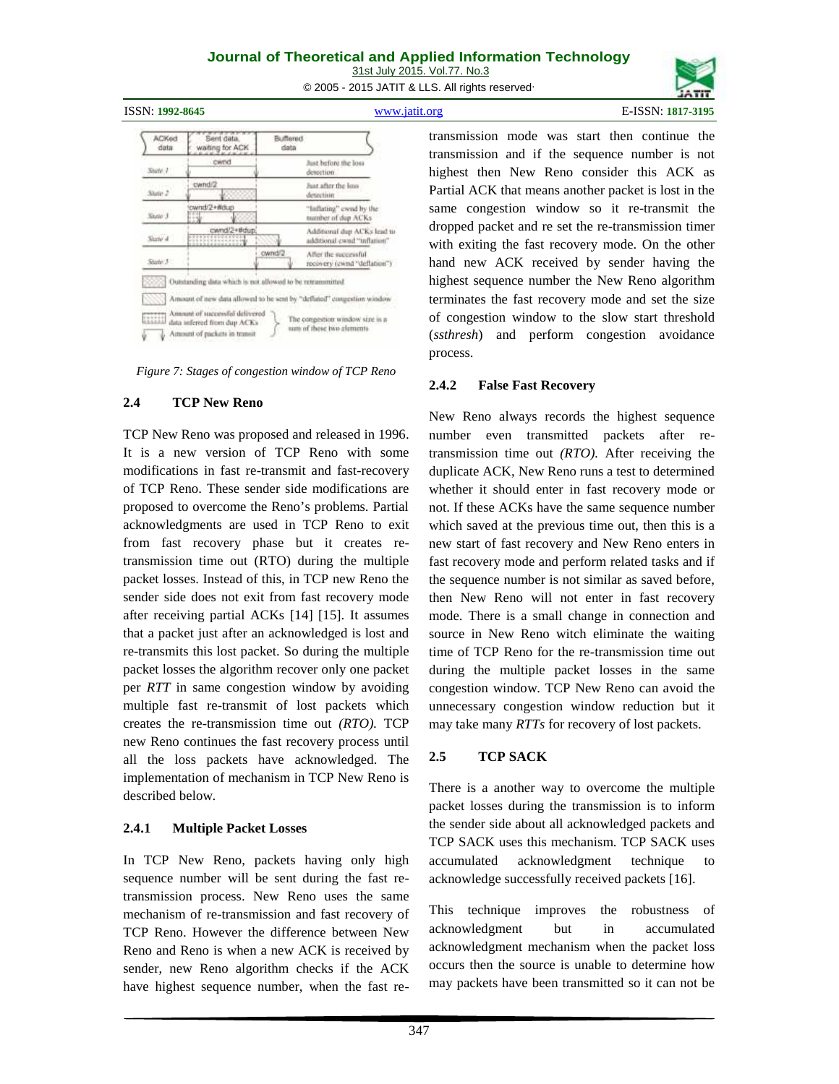31st July 2015. Vol.77. No.3 © 2005 - 2015 JATIT & LLS. All rights reserved.



**ACKed** 

data

 $State$ 

Stone 2

Shelp 3

Sixte 4

Stole 3

V

Sent data

waiting for ACK

cwnd

cwnd/2

vnd/2+Wdup

ownd/2+#dup)

CODE Outstanding data which is not allowed to be retrain

Amount of successful delivered Amount of successful delivero<br>data inferred from dup ACKs<br>All and the state is the state of the state in the state of the state of the state of the state of the state of the state of the state of the state of the state of

Amount of packets in transit

347

transmission mode was start then continue the transmission and if the sequence number is not highest then New Reno consider this ACK as Partial ACK that means another packet is lost in the same congestion window so it re-transmit the dropped packet and re set the re-transmission timer with exiting the fast recovery mode. On the other hand new ACK received by sender having the highest sequence number the New Reno algorithm terminates the fast recovery mode and set the size of congestion window to the slow start threshold (*ssthresh*) and perform congestion avoidance process.

## **2.4.2 False Fast Recovery**

New Reno always records the highest sequence number even transmitted packets after retransmission time out *(RTO).* After receiving the duplicate ACK, New Reno runs a test to determined whether it should enter in fast recovery mode or not. If these ACKs have the same sequence number which saved at the previous time out, then this is a new start of fast recovery and New Reno enters in fast recovery mode and perform related tasks and if the sequence number is not similar as saved before, then New Reno will not enter in fast recovery mode. There is a small change in connection and source in New Reno witch eliminate the waiting time of TCP Reno for the re-transmission time out during the multiple packet losses in the same congestion window. TCP New Reno can avoid the unnecessary congestion window reduction but it may take many *RTTs* for recovery of lost packets.

## **2.5 TCP SACK**

There is a another way to overcome the multiple packet losses during the transmission is to inform the sender side about all acknowledged packets and TCP SACK uses this mechanism. TCP SACK uses acknowledgment technique to acknowledge successfully received packets [16].

This technique improves the robustness of acknowledgment but in accumulated acknowledgment mechanism when the packet loss occurs then the source is unable to determine how may packets have been transmitted so it can not be

### *Figure 7: Stages of congestion window of TCP Reno*

ownd/2

Amount of new data allowed to be sent by "deflated" congestion window

Buffered

data

hist before the loss

Just after the loss.

"laftating" ownd by the

Additional durt ACKs lead to

additional cwnd "inflation"

recovery (cwnd "deflation")

number of dop ACKs

After the successful

The congestion window size is a sum of these two glements

detection

## **2.4 TCP New Reno**

TCP New Reno was proposed and released in 1996. It is a new version of TCP Reno with some modifications in fast re-transmit and fast-recovery of TCP Reno. These sender side modifications are proposed to overcome the Reno's problems. Partial acknowledgments are used in TCP Reno to exit from fast recovery phase but it creates retransmission time out (RTO) during the multiple packet losses. Instead of this, in TCP new Reno the sender side does not exit from fast recovery mode after receiving partial ACKs [14] [15]. It assumes that a packet just after an acknowledged is lost and re-transmits this lost packet. So during the multiple packet losses the algorithm recover only one packet per *RTT* in same congestion window by avoiding multiple fast re-transmit of lost packets which creates the re-transmission time out *(RTO).* TCP new Reno continues the fast recovery process until<br>all the loss probets have acknowledged. The 2.5 all the loss packets have acknowledged. The implementation of mechanism in TCP New Reno is described below.

## **2.4.1 Multiple Packet Losses**

In TCP New Reno, packets having only high accumulated sequence number will be sent during the fast retransmission process. New Reno uses the same mechanism of re-transmission and fast recovery of TCP Reno. However the difference between New Reno and Reno is when a new ACK is received by sender, new Reno algorithm checks if the ACK have highest sequence number, when the fast re-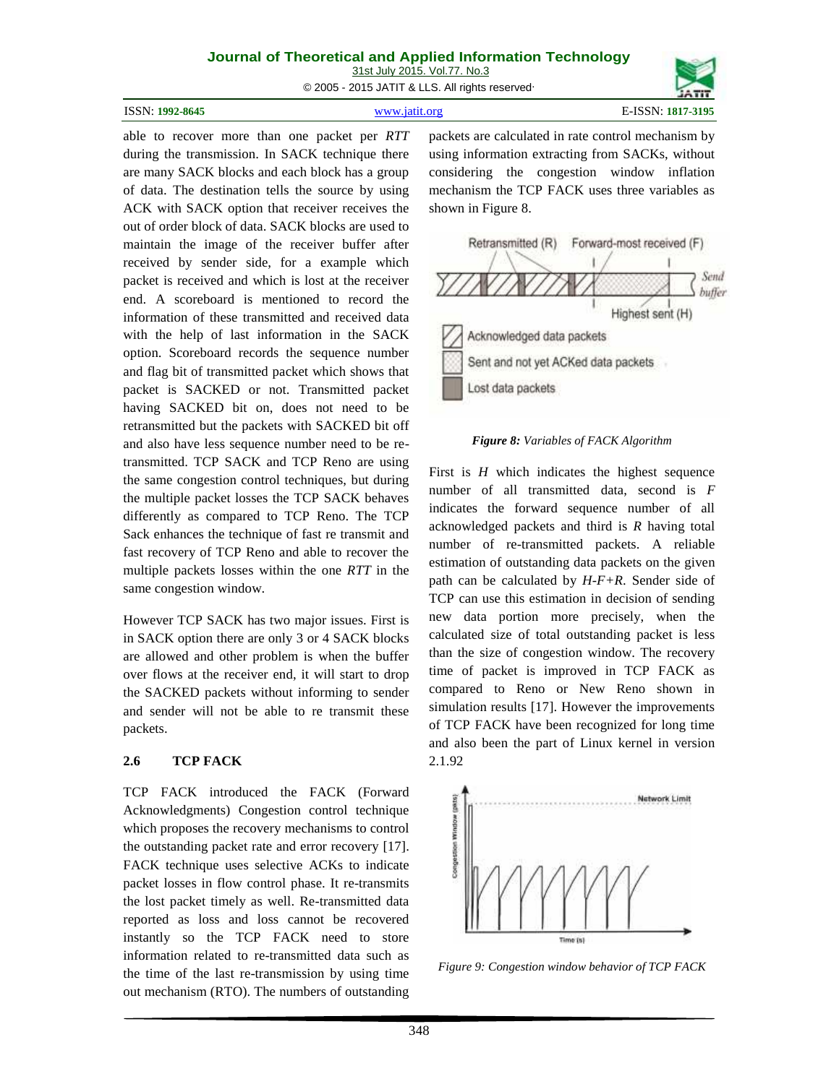31st July 2015. Vol.77. No.3

© 2005 - 2015 JATIT & LLS. All rights reserved.

| <b>ISSN: 1992-8645</b> | www.jatit.org | E-ISSN: 1817-3195 |
|------------------------|---------------|-------------------|
|------------------------|---------------|-------------------|

able to recover more than one packet per *RTT* during the transmission. In SACK technique there are many SACK blocks and each block has a group of data. The destination tells the source by using ACK with SACK option that receiver receives the out of order block of data. SACK blocks are used to maintain the image of the receiver buffer after received by sender side, for a example which packet is received and which is lost at the receiver end. A scoreboard is mentioned to record the information of these transmitted and received data with the help of last information in the SACK Acknowledged data packets option. Scoreboard records the sequence number and flag bit of transmitted packet which shows that packet is SACKED or not. Transmitted packet having SACKED bit on, does not need to be retransmitted but the packets with SACKED bit off and also have less sequence number need to be retransmitted. TCP SACK and TCP Reno are using the same congestion control techniques, but during the multiple packet losses the TCP SACK behaves differently as compared to TCP Reno. The TCP Sack enhances the technique of fast re transmit and fast recovery of TCP Reno and able to recover the multiple packets losses within the one *RTT* in the same congestion window.

However TCP SACK has two major issues. First is in SACK option there are only 3 or 4 SACK blocks are allowed and other problem is when the buffer over flows at the receiver end, it will start to drop the SACKED packets without informing to sender and sender will not be able to re transmit these packets.

## **2.6 TCP FACK**

TCP FACK introduced the FACK (Forward<br>Acknowledgments) Congestion control technique<br>which proposes the recovery mechanisms to control<br>the outstanding packet rate and error recovery [17].<br>FACK technique uses selective ACKs Acknowledgments) Congestion control technique which proposes the recovery mechanisms to control the outstanding packet rate and error recovery [17]. FACK technique uses selective ACKs to indicate packet losses in flow control phase. It re-transmits the lost packet timely as well. Re-transmitted data reported as loss and loss cannot be recovered instantly so the TCP FACK need to store information related to re-transmitted data such as the time of the last re-transmission by using time out mechanism (RTO). The numbers of outstanding

packets are calculated in rate control mechanism by using information extracting from SACKs, without considering the congestion window inflation mechanism the TCP FACK uses three variables as shown in Figure 8.



*Figure 8: Variables of FACK Algorithm*

First is *H* which indicates the highest sequence number of all transmitted data, second is *F* indicates the forward sequence number of all acknowledged packets and third is *R* having total number of re-transmitted packets. A reliable estimation of outstanding data packets on the given path can be calculated by *H-F+R*. Sender side of TCP can use this estimation in decision of sending new data portion more precisely, when the calculated size of total outstanding packet is less than the size of congestion window. The recovery time of packet is improved in TCP FACK as compared to Reno or New Reno shown in simulation results [17]. However the improvements of TCP FACK have been recognized for long time and also been the part of Linux kernel in version 2.1.92



*Figure 9: Congestion window behavior of TCP FACK*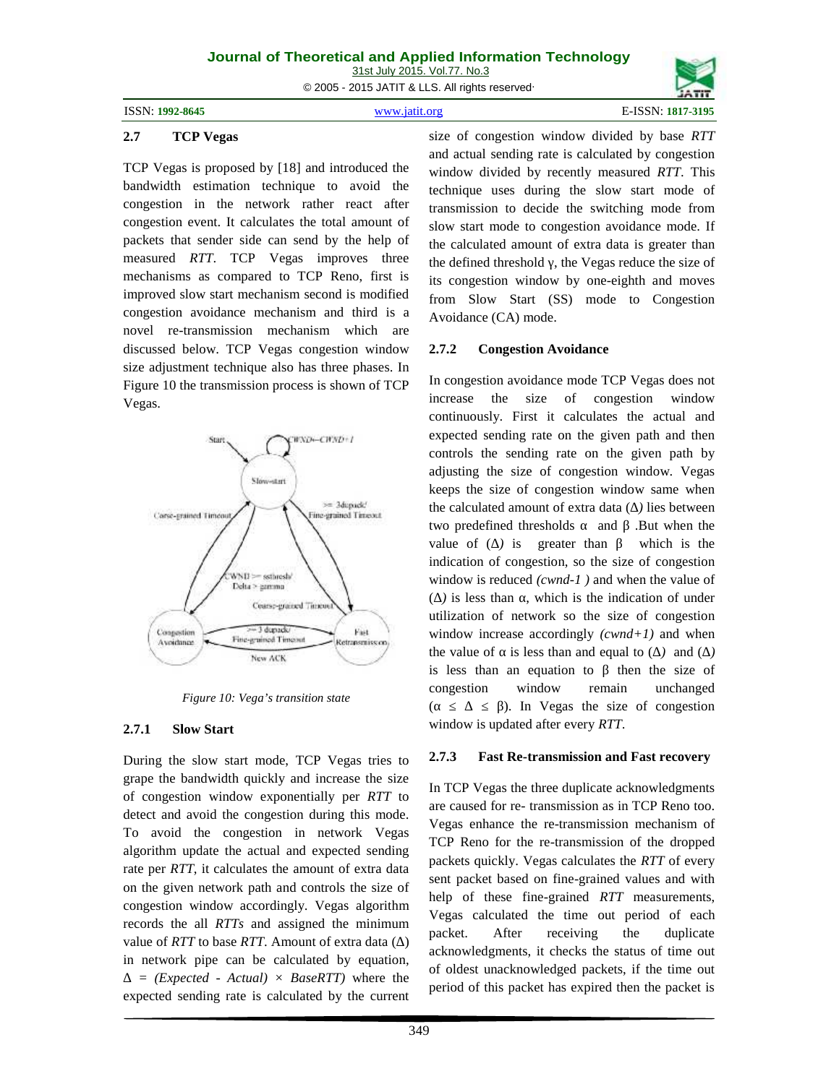ISSN: **1992-8645** www.jatit.org E-ISSN: **1817-3195**

### **2.7 TCP Vegas**

TCP Vegas is proposed by [18] and introduced the bandwidth estimation technique to avoid the congestion in the network rather react after congestion event. It calculates the total amount of packets that sender side can send by the help of measured *RTT*. TCP Vegas improves three mechanisms as compared to TCP Reno, first is improved slow start mechanism second is modified congestion avoidance mechanism and third is a novel re-transmission mechanism which are discussed below. TCP Vegas congestion window 2.7.2 size adjustment technique also has three phases. In Figure 10 the transmission process is shown of TCP In conges Vegas.



*Figure 10: Vega's transition state*

### **2.7.1 Slow Start**

During the slow start mode, TCP Vegas tries to  $2.7.3$ grape the bandwidth quickly and increase the size of congestion window exponentially per *RTT* to detect and avoid the congestion during this mode. To avoid the congestion in network Vegas algorithm update the actual and expected sending rate per *RTT*, it calculates the amount of extra data on the given network path and controls the size of congestion window accordingly. Vegas algorithm records the all *RTTs* and assigned the minimum packet. value of *RTT* to base *RTT*. Amount of extra data (∆) in network pipe can be calculated by equation,

*= (Expected - Actual) × BaseRTT)* where the expected sending rate is calculated by the current size of congestion window divided by base *RTT* and actual sending rate is calculated by congestion window divided by recently measured *RTT*. This technique uses during the slow start mode of transmission to decide the switching mode from slow start mode to congestion avoidance mode. If the calculated amount of extra data is greater than the defined threshold , the Vegas reduce the size of its congestion window by one-eighth and moves from Slow Start (SS) mode to Congestion Avoidance (CA) mode.

## **2.7.2 Congestion Avoidance**

In congestion avoidance mode TCP Vegas does not the size of congestion window continuously. First it calculates the actual and expected sending rate on the given path and then controls the sending rate on the given path by adjusting the size of congestion window. Vegas keeps the size of congestion window same when the calculated amount of extra data ( *)* lies between two predefined thresholds and .But when the value of ( *)* is greater than which is the indication of congestion, so the size of congestion window is reduced *(cwnd-1 )* and when the value of ( *)* is less than , which is the indication of under utilization of network so the size of congestion window increase accordingly *(cwnd+1)* and when the value of is less than and equal to ( *)* and ( *)* is less than an equation to then the size of congestion window remain unchanged (a assume the size of congestion of  $\sum_{n=1}^{\infty}$  and  $\sum_{n=1}^{\infty}$  and  $\sum_{n=1}^{\infty}$  and  $\sum_{n=1}^{\infty}$  and  $\sum_{n=1}^{\infty}$  and  $\sum_{n=1}^{\infty}$  and  $\sum_{n=1}^{\infty}$  and  $\sum_{n=1}^{\infty}$  and  $\sum_{n=1}^{\infty}$  and  $\sum_{n=1}^{\infty}$  window is updated after every *RTT*.

## **2.7.3 Fast Re-transmission and Fast recovery**

In TCP Vegas the three duplicate acknowledgments are caused for re- transmission as in TCP Reno too. Vegas enhance the re-transmission mechanism of TCP Reno for the re-transmission of the dropped packets quickly. Vegas calculates the *RTT* of every sent packet based on fine-grained values and with help of these fine-grained *RTT* measurements, Vegas calculated the time out period of each After receiving the duplicate acknowledgments, it checks the status of time out of oldest unacknowledged packets, if the time out period of this packet has expired then the packet is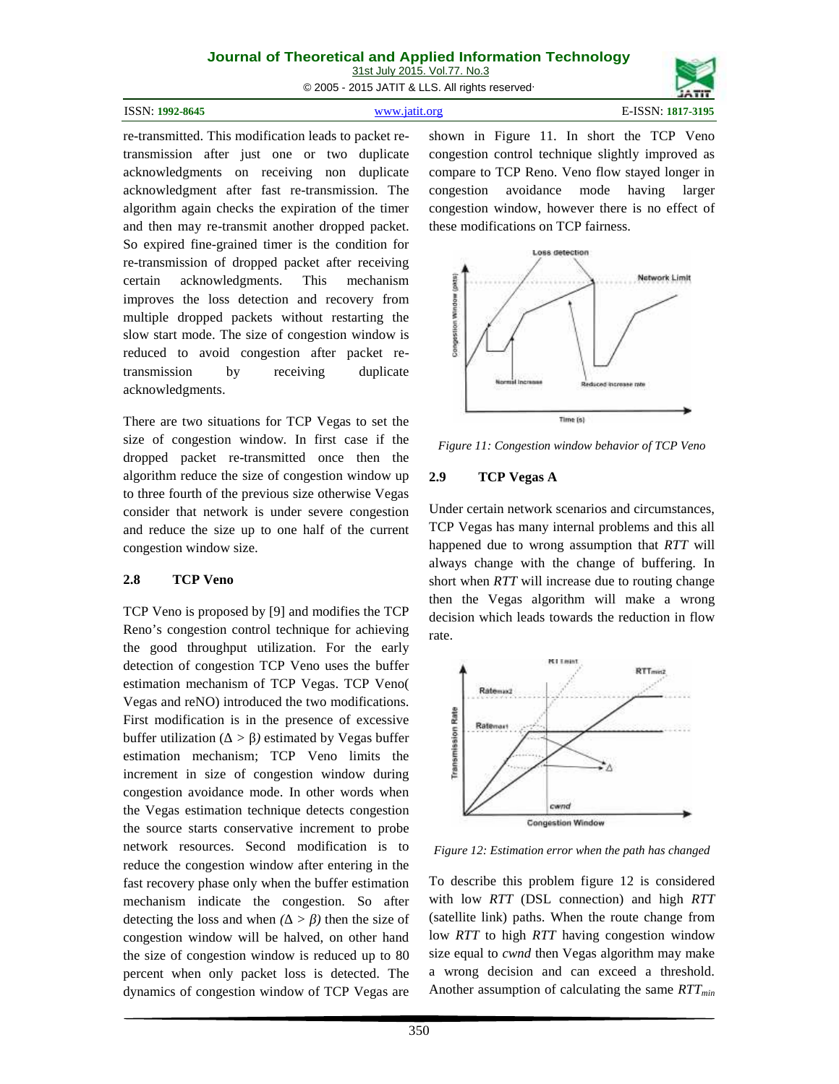31st July 2015. Vol.77. No.3

© 2005 - 2015 JATIT & LLS. All rights reserved.

| ISSN: 1992-8645 | www.jatit.org | E-ISSN: 1817-3195 |
|-----------------|---------------|-------------------|
|-----------------|---------------|-------------------|

re-transmitted. This modification leads to packet retransmission after just one or two duplicate acknowledgments on receiving non duplicate acknowledgment after fast re-transmission. The algorithm again checks the expiration of the timer and then may re-transmit another dropped packet. So expired fine-grained timer is the condition for re-transmission of dropped packet after receiving certain acknowledgments. This mechanism<br>improves the loss detection and recovery from<br>multiple dropped packets without restarting the<br>slow start mode. The size of congestion window is<br>reduced to avoid congestion after pack improves the loss detection and recovery from multiple dropped packets without restarting the slow start mode. The size of congestion window is reduced to avoid congestion after packet retransmission by receiving duplicate acknowledgments.

There are two situations for TCP Vegas to set the size of congestion window. In first case if the dropped packet re-transmitted once then the algorithm reduce the size of congestion window up 2.9 to three fourth of the previous size otherwise Vegas consider that network is under severe congestion and reduce the size up to one half of the current congestion window size.

## **2.8 TCP Veno**

TCP Veno is proposed by [9] and modifies the TCP Reno's congestion control technique for achieving the good throughput utilization. For the early detection of congestion TCP Veno uses the buffer estimation mechanism of TCP Vegas. TCP Veno( Vegas and reNO) introduced the two modifications. First modification is in the presence of excessive<br>buffer utilization ( $>$ ) estimated by Vegas buffer<br>estimation mechanism; TCP Veno limits the<br>increment in size of congestion window during buffer utilization ( *> )* estimated by Vegas buffer estimation mechanism; TCP Veno limits the increment in size of congestion window during congestion avoidance mode. In other words when the Vegas estimation technique detects congestion the source starts conservative increment to probe network resources. Second modification is to reduce the congestion window after entering in the fast recovery phase only when the buffer estimation mechanism indicate the congestion. So after detecting the loss and when *(∆ > β)* then the size of congestion window will be halved, on other hand the size of congestion window is reduced up to 80 percent when only packet loss is detected. The dynamics of congestion window of TCP Vegas are

shown in Figure 11. In short the TCP Veno congestion control technique slightly improved as compare to TCP Reno. Veno flow stayed longer in avoidance mode having larger congestion window, however there is no effect of these modifications on TCP fairness.



*Figure 11: Congestion window behavior of TCP Veno*

## **2.9 TCP Vegas A**

Under certain network scenarios and circumstances, TCP Vegas has many internal problems and this all happened due to wrong assumption that *RTT* will always change with the change of buffering. In short when *RTT* will increase due to routing change then the Vegas algorithm will make a wrong decision which leads towards the reduction in flow rate.



*Figure 12: Estimation error when the path has changed*

To describe this problem figure 12 is considered with low *RTT* (DSL connection) and high *RTT* (satellite link) paths. When the route change from low *RTT* to high *RTT* having congestion window size equal to *cwnd* then Vegas algorithm may make a wrong decision and can exceed a threshold. Another assumption of calculating the same *RTTmin*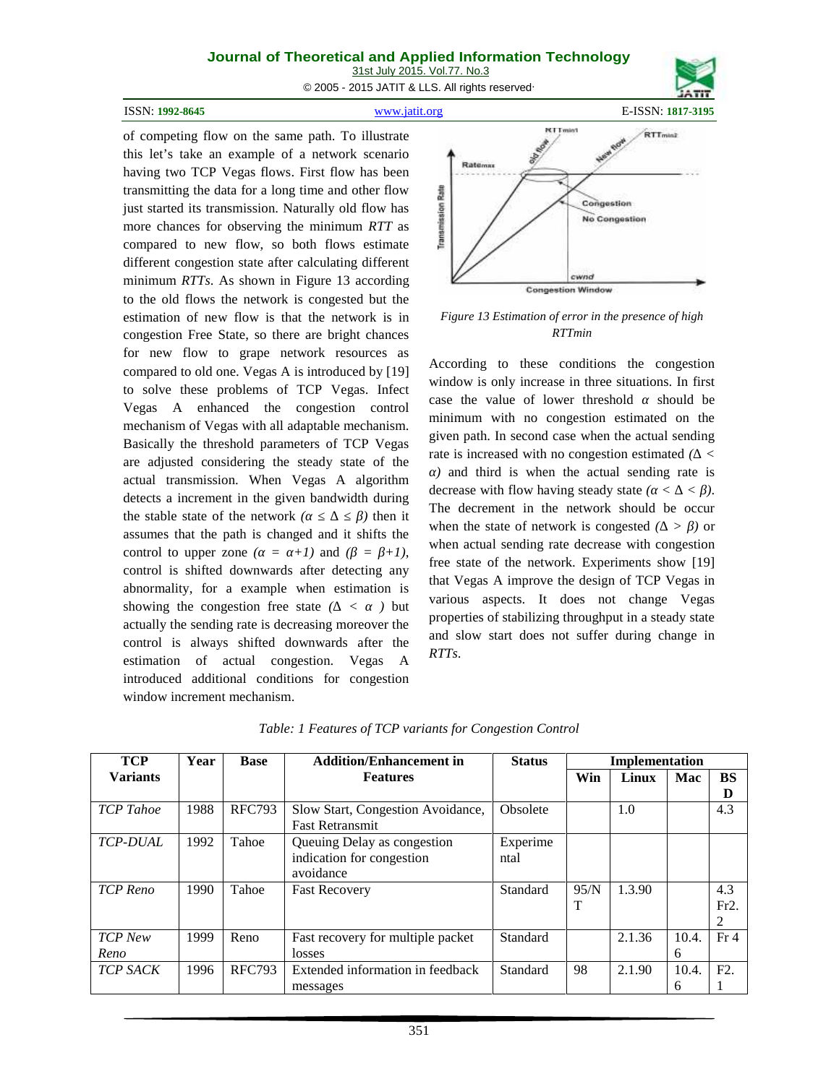31st July 2015. Vol.77. No.3

© 2005 - 2015 JATIT & LLS. All rights reserved.

ISSN: **1992-8645** www.jatit.org E-ISSN: **1817-3195**



of competing flow on the same path. To illustrate this let's take an example of a network scenario having two TCP Vegas flows. First flow has been transmitting the data for a long time and other flow<br>just started its transmission. Naturally old flow has<br>more chances for observing the minimum *RTT* as<br>compared to new flow so both flows estimate just started its transmission. Naturally old flow has more chances for observing the minimum *RTT* as compared to new flow, so both flows estimate different congestion state after calculating different minimum *RTTs*. As shown in Figure 13 according to the old flows the network is congested but the estimation of new flow is that the network is in congestion Free State, so there are bright chances for new flow to grape network resources as compared to old one. Vegas A is introduced by [19] to solve these problems of TCP Vegas. Infect Vegas A enhanced the congestion control mechanism of Vegas with all adaptable mechanism. Basically the threshold parameters of TCP Vegas are adjusted considering the steady state of the actual transmission. When Vegas A algorithm detects a increment in the given bandwidth during the stable state of the network *(b)* then it assumes that the path is changed and it shifts the control to upper zone  $($  =  $+1)$  and  $($  =  $+1)$ , control is shifted downwards after detecting any abnormality, for a example when estimation is showing the congestion free state  $\ell \leq \ell$  but actually the sending rate is decreasing moreover the

control is always shifted downwards after the estimation of actual congestion. Vegas A introduced additional conditions for congestion

window increment mechanism.



*Figure 13 Estimation of error in the presence of high RTTmin*

According to these conditions the congestion window is only increase in three situations. In first case the value of lower threshold should be minimum with no congestion estimated on the given path. In second case when the actual sending rate is increased with no congestion estimated *(∆ < a*) and third is when the actual sending rate is decrease with flow having steady state  $( \langle \langle \rangle \rangle)$ . The decrement in the network should be occur when the state of network is congested *(∆ > β)* or when actual sending rate decrease with congestion free state of the network. Experiments show [19] that Vegas A improve the design of TCP Vegas in various aspects. It does not change Vegas properties of stabilizing throughput in a steady state and slow start does not suffer during change in *RTTs*.

| <b>TCP</b>       | Year | <b>Base</b>   | <b>Addition/Enhancement in</b>                                        | <b>Status</b>    |      | Implementation |                       |                  |
|------------------|------|---------------|-----------------------------------------------------------------------|------------------|------|----------------|-----------------------|------------------|
| <b>Variants</b>  |      |               | <b>Features</b>                                                       |                  | Win  | Linux          | Mac                   | <b>BS</b><br>D   |
| <b>TCP</b> Tahoe | 1988 | <b>RFC793</b> | Slow Start, Congestion Avoidance,<br><b>Fast Retransmit</b>           | Obsolete         |      | 1.0            |                       | 4.3              |
| <b>TCP-DUAL</b>  | 1992 | Tahoe         | Queuing Delay as congestion<br>indication for congestion<br>avoidance | Experime<br>ntal |      |                |                       |                  |
| TCP Reno         | 1990 | Tahoe         | <b>Fast Recovery</b>                                                  | Standard         | 95/N | 1.3.90         |                       | 4.3<br>Fr2.      |
| TCP New<br>Reno  | 1999 | Reno          | Fast recovery for multiple packet<br>losses                           | Standard         |      | 2.1.36         | 10.4.<br>6            | Fr <sub>4</sub>  |
| <b>TCP SACK</b>  | 1996 | <b>RFC793</b> | Extended information in feedback<br>messages                          | Standard         | 98   | 2.1.90         | 10.4.<br><sub>b</sub> | F <sub>2</sub> . |

*Table: 1 Features of TCP variants for Congestion Control*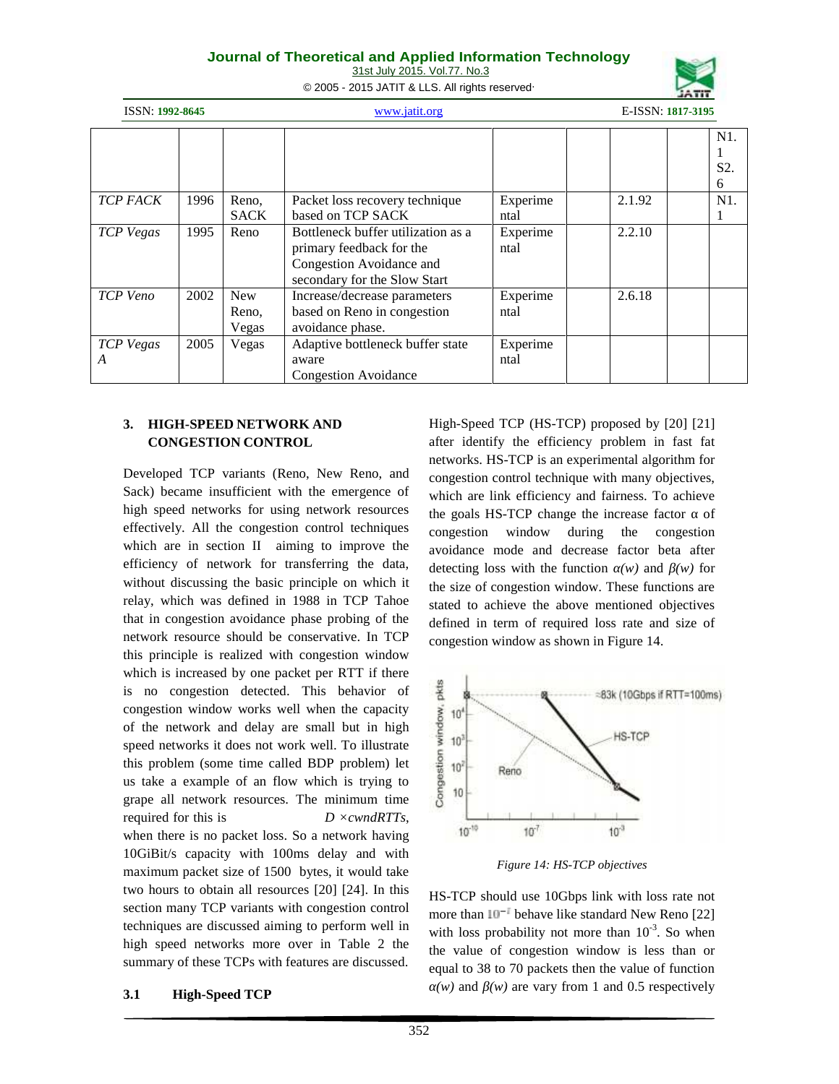| <b>Journal of Theoretical and Applied Information Technology</b> |  |
|------------------------------------------------------------------|--|
| 31st July 2015. Vol.77. No.3                                     |  |

© 2005 - 2015 JATIT & LLS. All rights reserved.



|                       | www.jatit.org |                       | ISSN: 1992-8645                                                                                                            |                  |        | E-ISSN: 1817-3195 |  |
|-----------------------|---------------|-----------------------|----------------------------------------------------------------------------------------------------------------------------|------------------|--------|-------------------|--|
|                       |               |                       |                                                                                                                            |                  |        | N1.<br>S2.<br>6   |  |
| <b>TCP FACK</b>       | 1996          | Reno,<br><b>SACK</b>  | Packet loss recovery technique<br>based on TCP SACK                                                                        | Experime<br>ntal | 2.1.92 | N1.               |  |
| <b>TCP</b> Vegas      | 1995          | Reno                  | Bottleneck buffer utilization as a<br>primary feedback for the<br>Congestion Avoidance and<br>secondary for the Slow Start | Experime<br>ntal | 2.2.10 |                   |  |
| TCP Veno              | 2002          | New<br>Reno,<br>Vegas | Increase/decrease parameters<br>based on Reno in congestion<br>avoidance phase.                                            | Experime<br>ntal | 2.6.18 |                   |  |
| <b>TCP</b> Vegas<br>A | 2005          | Vegas                 | Adaptive bottleneck buffer state<br>aware<br><b>Congestion Avoidance</b>                                                   | Experime<br>ntal |        |                   |  |

## **3. HIGH-SPEED NETWORK AND CONGESTION CONTROL**

Developed TCP variants (Reno, New Reno, and Sack) became insufficient with the emergence of high speed networks for using network resources effectively. All the congestion control techniques which are in section II aiming to improve the efficiency of network for transferring the data, without discussing the basic principle on which it relay, which was defined in 1988 in TCP Tahoe that in congestion avoidance phase probing of the network resource should be conservative. In TCP this principle is realized with congestion window which is increased by one packet per RTT if there<br>is no congestion detected. This behavior of<br>congestion window works well when the capacity<br>of the network and delay are small but in high<br>speed networks it does not work we is no congestion detected. This behavior of congestion window works well when the capacity  $\frac{1}{2}$  10<sup>t</sup> of the network and delay are small but in high  $\frac{1}{2}$ <br>speed networks if does not work well. To illustrate speed networks it does not work well. To illustrate this problem (some time called BDP problem) let us take a example of an flow which is trying to  $\frac{8}{5}$  to grape all network resources. The minimum time required for this is *D ×cwndRTTs*, when there is no packet loss. So a network having  $10^{-10}$ 10GiBit/s capacity with 100ms delay and with maximum packet size of 1500 bytes, it would take two hours to obtain all resources [20] [24]. In this section many TCP variants with congestion control techniques are discussed aiming to perform well in high speed networks more over in Table 2 the summary of these TCPs with features are discussed.

**3.1 High-Speed TCP**

High-Speed TCP (HS-TCP) proposed by [20] [21] after identify the efficiency problem in fast fat networks. HS-TCP is an experimental algorithm for congestion control technique with many objectives, which are link efficiency and fairness. To achieve the goals HS-TCP change the increase factor of congestion window during the congestion avoidance mode and decrease factor beta after detecting loss with the function *(w)* and *(w)* for the size of congestion window. These functions are stated to achieve the above mentioned objectives defined in term of required loss rate and size of congestion window as shown in Figure 14.



*Figure 14: HS-TCP objectives*

HS-TCP should use 10Gbps link with loss rate not more than  $10^{-1}$  behave like standard New Reno [22] with loss probability not more than  $10^{-3}$ . So when the value of congestion window is less than or equal to 38 to 70 packets then the value of function *(w)* and *(w)* are vary from 1 and 0.5 respectively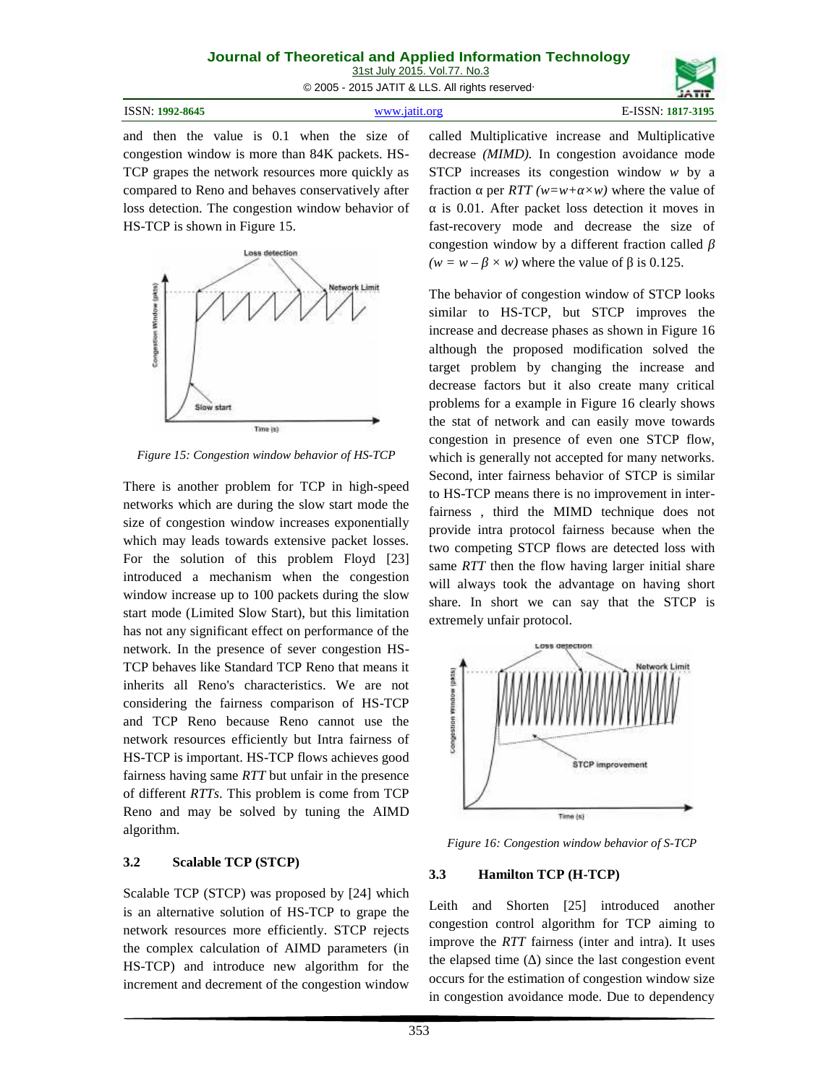| Journal of Theoretical and Applied Information Technology |  |  |  |  |
|-----------------------------------------------------------|--|--|--|--|
| 31st July 2015. Vol.77. No.3                              |  |  |  |  |
| © 2005 - 2015 JATIT & LLS. All rights reserved            |  |  |  |  |

| ISSN:<br>1992-8645 | 3195 |
|--------------------|------|
|                    |      |

and then the value is 0.1 when the size of congestion window is more than 84K packets. HS- TCP grapes the network resources more quickly as compared to Reno and behaves conservatively after loss detection. The congestion window behavior of HS-TCP is shown in Figure 15.



*Figure 15: Congestion window behavior of HS-TCP*

There is another problem for TCP in high-speed networks which are during the slow start mode the size of congestion window increases exponentially which may leads towards extensive packet losses. For the solution of this problem Floyd [23] introduced a mechanism when the congestion window increase up to 100 packets during the slow start mode (Limited Slow Start), but this limitation has not any significant effect on performance of the network. In the presence of sever congestion HS- TCP behaves like Standard TCP Reno that means it inherits all Reno's characteristics. We are not TCF behaves like standard TCF Reho that heals h<br>inherits all Reno's characteristics. We are not<br>considering the fairness comparison of HS-TCP<br>and TCP Reno because Reno cannot use the<br>network resources efficiently but Intra and TCP Reno because Reno cannot use the network resources efficiently but Intra fairness of HS-TCP is important. HS-TCP flows achieves good fairness having same *RTT* but unfair in the presence of different *RTTs*. This problem is come from TCP Reno and may be solved by tuning the AIMD algorithm.

## **3.2 Scalable TCP (STCP)**

Scalable TCP (STCP) was proposed by [24] which is an alternative solution of HS-TCP to grape the network resources more efficiently. STCP rejects the complex calculation of AIMD parameters (in HS-TCP) and introduce new algorithm for the increment and decrement of the congestion window

called Multiplicative increase and Multiplicative decrease *(MIMD).* In congestion avoidance mode STCP increases its congestion window *w* by a fraction per  $RTT$  (w=w+  $\times w$ ) where the value of

is 0.01. After packet loss detection it moves in fast-recovery mode and decrease the size of congestion window by a different fraction called  $(w = w - \times w)$  where the value of is 0.125.

The behavior of congestion window of STCP looks similar to HS-TCP, but STCP improves the increase and decrease phases as shown in Figure 16 although the proposed modification solved the target problem by changing the increase and decrease factors but it also create many critical problems for a example in Figure 16 clearly shows the stat of network and can easily move towards congestion in presence of even one STCP flow, which is generally not accepted for many networks. Second, inter fairness behavior of STCP is similar to HS-TCP means there is no improvement in interfairness , third the MIMD technique does not provide intra protocol fairness because when the two competing STCP flows are detected loss with same *RTT* then the flow having larger initial share will always took the advantage on having short share. In short we can say that the STCP is extremely unfair protocol.



*Figure 16: Congestion window behavior of S-TCP*

## **3.3 Hamilton TCP (H-TCP)**

Leith and Shorten [25] introduced another congestion control algorithm for TCP aiming to improve the *RTT* fairness (inter and intra). It uses the elapsed time ( ) since the last congestion event occurs for the estimation of congestion window size in congestion avoidance mode. Due to dependency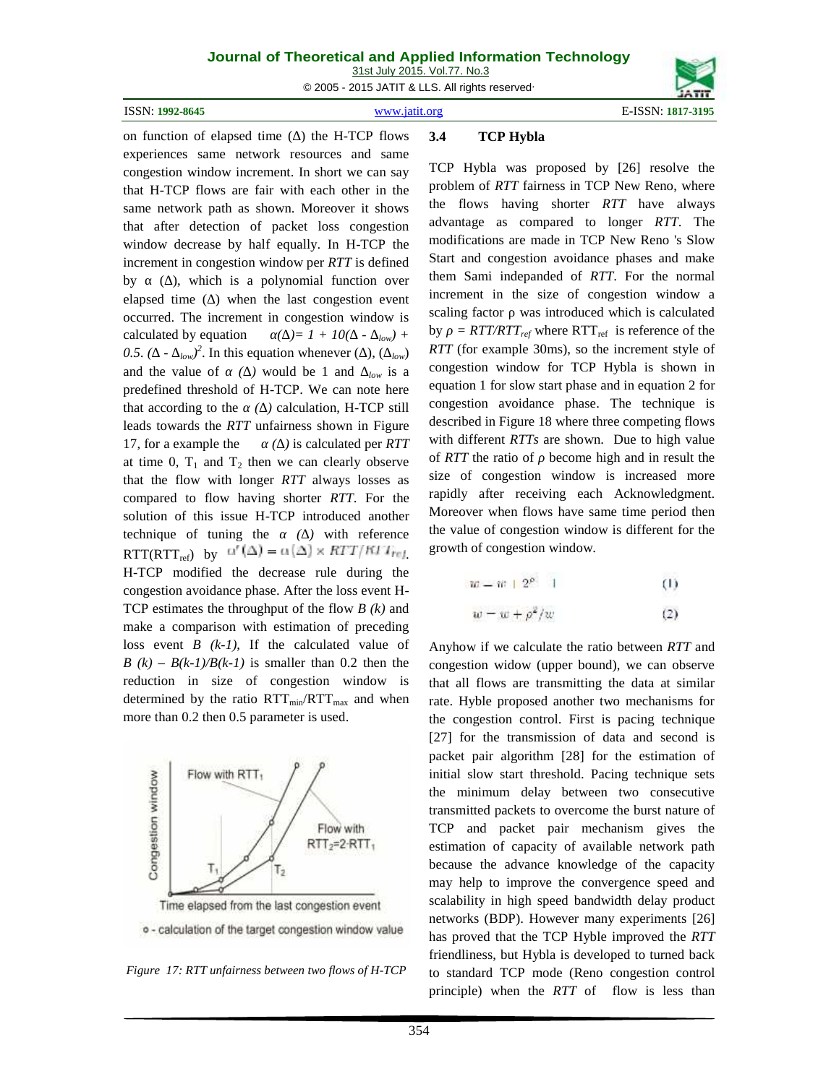31st July 2015. Vol.77. No.3

© 2005 - 2015 JATIT & LLS. All rights reserved.

ISSN: **1992-8645** www.jatit.org E-ISSN: **1817-3195**



### on function of elapsed time ( ) the H-TCP flows 3.4 **3.4 TCP Hybla**

experiences same network resources and same congestion window increment. In short we can say that H-TCP flows are fair with each other in the same network path as shown. Moreover it shows that after detection of packet loss congestion window decrease by half equally. In H-TCP the increment in congestion window per *RTT* is defined by (), which is a polynomial function over elapsed time () when the last congestion event occurred. The increment in congestion window is calculated by equation  $( )= 1 + 10( - \frac{1}{2}$ 0.5.  $($  *-*  $_{low}$  $)^2$ . In this equation whenever  $($   $)$ ,  $($   $_{low}$  $)$   $R1$ and the value of (*)* would be 1 and  $_{low}$  is a predefined threshold of H-TCP. We can note here that according to the (*)* calculation, H-TCP still leads towards the *RTT* unfairness shown in Figure 17, for a example the *()* is calculated per *RTT* at time 0,  $T_1$  and  $T_2$  then we can clearly observe that the flow with longer *RTT* always losses as compared to flow having shorter *RTT*. For the solution of this issue H-TCP introduced another technique of tuning the *α ( )* with reference RTT(RTT<sub>ref)</sub> by  $\alpha'(\Delta) = \alpha(\Delta) \times RTT/RTT_{ref}$ H-TCP modified the decrease rule during the congestion avoidance phase. After the loss event H- TCP estimates the throughput of the flow *B (k)* and make a comparison with estimation of preceding loss event *B (k-1)*, If the calculated value of  $B(k) - B(k-1)/B(k-1)$  is smaller than 0.2 then the reduction in size of congestion window is determined by the ratio  $RTT_{min}/RTT_{max}$  and when more than 0.2 then 0.5 parameter is used.



*Figure 17: RTT unfairness between two flows of H-TCP*

TCP Hybla was proposed by [26] resolve the problem of *RTT* fairness in TCP New Reno, where the flows having shorter *RTT* have always advantage as compared to longer *RTT*. The modifications are made in TCP New Reno 's Slow Start and congestion avoidance phases and make them Sami indepanded of *RTT*. For the normal increment in the size of congestion window a scaling factor was introduced which is calculated by =  $RTT/RTT_{ref}$  where  $RTT_{ref}$  is reference of the *RTT* (for example 30ms), so the increment style of congestion window for TCP Hybla is shown in equation 1 for slow start phase and in equation 2 for congestion avoidance phase. The technique is described in Figure 18 where three competing flows with different *RTTs* are shown. Due to high value of *RTT* the ratio of become high and in result the size of congestion window is increased more rapidly after receiving each Acknowledgment. Moreover when flows have same time period then the value of congestion window is different for the growth of congestion window.

$$
w = w + 2\rho + 1 \tag{1}
$$

$$
w = w + \rho^2/w \tag{2}
$$

Anyhow if we calculate the ratio between *RTT* and congestion widow (upper bound), we can observe that all flows are transmitting the data at similar rate. Hyble proposed another two mechanisms for the congestion control. First is pacing technique [27] for the transmission of data and second is packet pair algorithm [28] for the estimation of initial slow start threshold. Pacing technique sets the minimum delay between two consecutive transmitted packets to overcome the burst nature of TCP and packet pair mechanism gives the estimation of capacity of available network path because the advance knowledge of the capacity may help to improve the convergence speed and scalability in high speed bandwidth delay product networks (BDP). However many experiments [26] has proved that the TCP Hyble improved the *RTT* friendliness, but Hybla is developed to turned back to standard TCP mode (Reno congestion control principle) when the *RTT* of flow is less than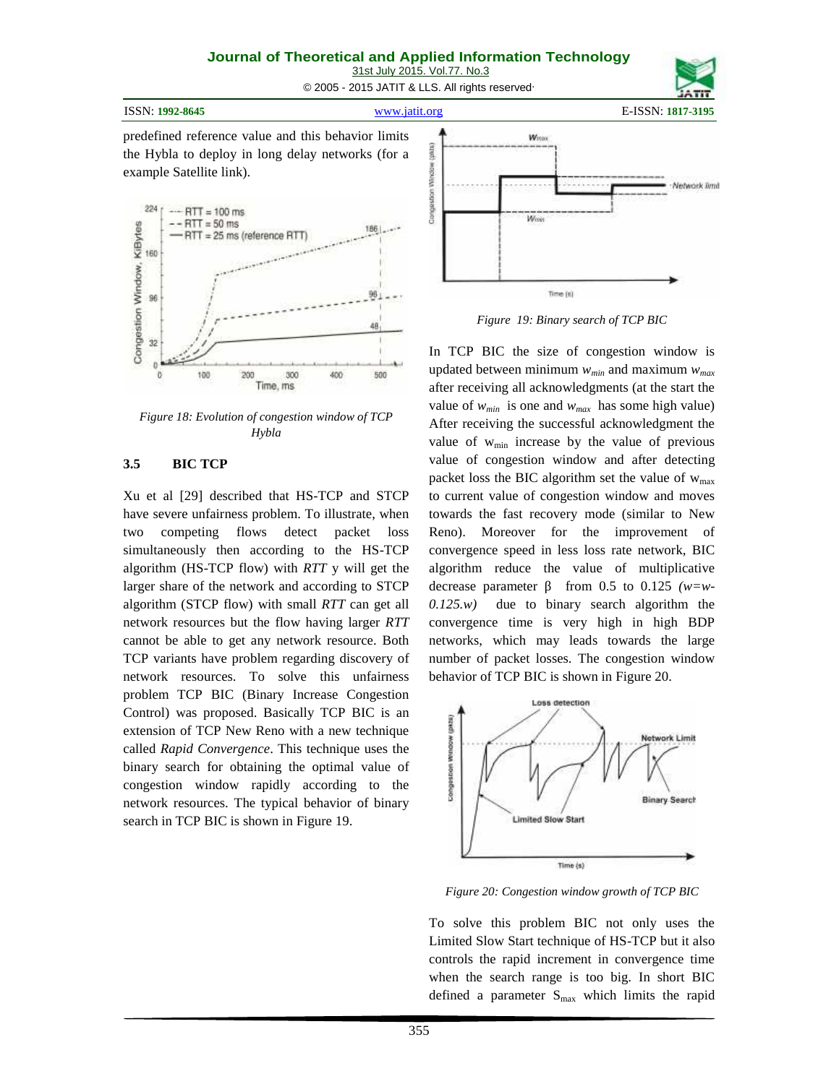31st July 2015. Vol.77. No.3

© 2005 - 2015 JATIT & LLS. All rights reserved.

ISSN: **1992-8645** www.jatit.org E-ISSN: **1817-3195**

predefined reference value and this behavior limits<br>the Hybla to deploy in long delay networks (for a<br>example Satellite link).<br> $^{224}$ [ $\frac{... \text{RTT} = 100 \text{ ms}}{1.5 \text{ RTT} - 50 \text{ ms}}$ the Hybla to deploy in long delay networks (for a example Satellite link).



*Figure 18: Evolution of congestion window of TCP Hybla*

## **3.5 BIC TCP**

Xu et al [29] described that HS-TCP and STCP have severe unfairness problem. To illustrate, when two competing flows detect packet loss simultaneously then according to the HS-TCP algorithm (HS-TCP flow) with *RTT* y will get the larger share of the network and according to STCP decrease parameter algorithm (STCP flow) with small *RTT* can get all  $0.125(w)$ network resources but the flow having larger *RTT* cannot be able to get any network resource. Both TCP variants have problem regarding discovery of network resources. To solve this unfairness problem TCP BIC (Binary Increase Congestion Control) was proposed. Basically TCP BIC is an extension of TCP New Reno with a new technique called *Rapid Convergence*. This technique uses the binary search for obtaining the optimal value of congestion window rapidly a extension of TCP New Reno with a new technique called *Rapid Convergence*. This technique uses the binary search for obtaining the optimal value of congestion window rapidly according to the network resources. The typical behavior of binary search in TCP BIC is shown in Figure 19.



*Figure 19: Binary search of TCP BIC*

In TCP BIC the size of congestion window is updated between minimum *wmin* and maximum *wmax* after receiving all acknowledgments (at the start the value of  $w_{min}$  is one and  $w_{max}$  has some high value) After receiving the successful acknowledgment the value of  $w_{\text{min}}$  increase by the value of previous value of congestion window and after detecting packet loss the BIC algorithm set the value of  $w_{\text{max}}$ to current value of congestion window and moves towards the fast recovery mode (similar to New Reno). Moreover for the improvement of convergence speed in less loss rate network, BIC algorithm reduce the value of multiplicative from 0.5 to 0.125  $(w=w$ due to binary search algorithm the convergence time is very high in high BDP networks, which may leads towards the large number of packet losses. The congestion window behavior of TCP BIC is shown in Figure 20.



*Figure 20: Congestion window growth of TCP BIC*

To solve this problem BIC not only uses the Limited Slow Start technique of HS-TCP but it also controls the rapid increment in convergence time when the search range is too big. In short BIC defined a parameter  $S_{\text{max}}$  which limits the rapid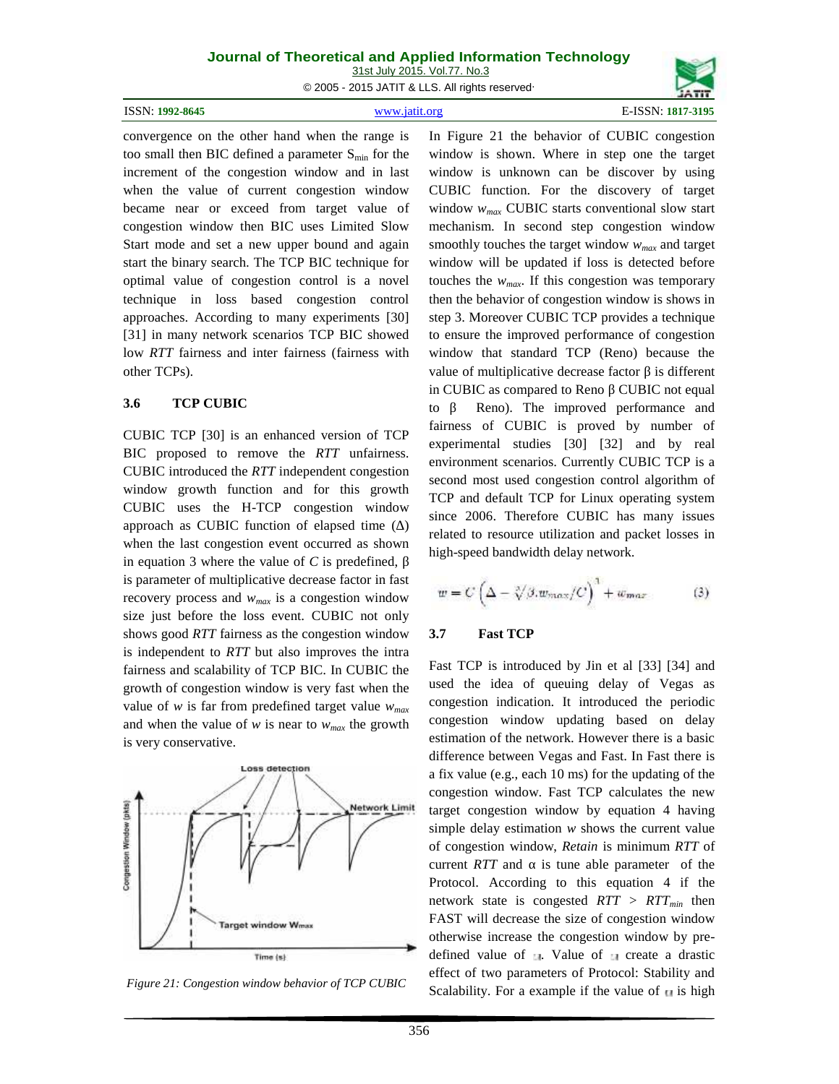31st July 2015. Vol.77. No.3

© 2005 - 2015 JATIT & LLS. All rights reserved.

| E-ISSN: 1817-3195<br>www.jatit.org | ISSN: 1992-8645 |  |  |
|------------------------------------|-----------------|--|--|
|------------------------------------|-----------------|--|--|

convergence on the other hand when the range is too small then BIC defined a parameter  $S_{min}$  for the increment of the congestion window and in last when the value of current congestion window became near or exceed from target value of congestion window then BIC uses Limited Slow Start mode and set a new upper bound and again start the binary search. The TCP BIC technique for optimal value of congestion control is a novel technique in loss based congestion control approaches. According to many experiments [30] [31] in many network scenarios TCP BIC showed low *RTT* fairness and inter fairness (fairness with other TCPs).

### **3.6 TCP CUBIC**

CUBIC TCP [30] is an enhanced version of TCP BIC proposed to remove the *RTT* unfairness. CUBIC introduced the *RTT* independent congestion window growth function and for this growth CUBIC uses the H-TCP congestion window approach as CUBIC function of elapsed time (∆) when the last congestion event occurred as shown in equation 3 where the value of *C* is predefined,

is parameter of multiplicative decrease factor in fast recovery process and *wmax* is a congestion window size just before the loss event. CUBIC not only shows good *RTT* fairness as the congestion window 3.7 is independent to *RTT* but also improves the intra fairness and scalability of TCP BIC. In CUBIC the growth of congestion window is very fast when the value of *w* is far from predefined target value *wmax* and when the value of *w* is near to *wmax* the growth is very conservative.



*Figure 21: Congestion window behavior of TCP CUBIC*

In Figure 21 the behavior of CUBIC congestion window is shown. Where in step one the target window is unknown can be discover by using CUBIC function. For the discovery of target window *wmax* CUBIC starts conventional slow start mechanism. In second step congestion window smoothly touches the target window *wmax* and target window will be updated if loss is detected before touches the  $w_{max}$ . If this congestion was temporary then the behavior of congestion window is shows in step 3. Moreover CUBIC TCP provides a technique to ensure the improved performance of congestion window that standard TCP (Reno) because the value of multiplicative decrease factor is different in CUBIC as compared to Reno CUBIC not equal to Reno). The improved performance and fairness of CUBIC is proved by number of experimental studies [30] [32] and by real environment scenarios. Currently CUBIC TCP is a second most used congestion control algorithm of TCP and default TCP for Linux operating system since 2006. Therefore CUBIC has many issues related to resource utilization and packet losses in high-speed bandwidth delay network.

$$
w = C \left( \Delta - \sqrt[3]{\beta} \cdot w_{max} / C \right)^{1} + w_{max}
$$
 (3)

### **3.7 Fast TCP**

Fast TCP is introduced by Jin et al [33] [34] and used the idea of queuing delay of Vegas as congestion indication. It introduced the periodic congestion window updating based on delay estimation of the network. However there is a basic difference between Vegas and Fast. In Fast there is a fix value (e.g., each 10 ms) for the updating of the congestion window. Fast TCP calculates the new target congestion window by equation 4 having simple delay estimation *w* shows the current value of congestion window, *Retain* is minimum *RTT* of current *RTT* and is tune able parameter of the Protocol. According to this equation 4 if the network state is congested *RTT > RTTmin* then FAST will decrease the size of congestion window otherwise increase the congestion window by pre defined value of  $\blacksquare$ . Value of  $\blacksquare$  create a drastic effect of two parameters of Protocol: Stability and Scalability. For a example if the value of  $\blacksquare$  is high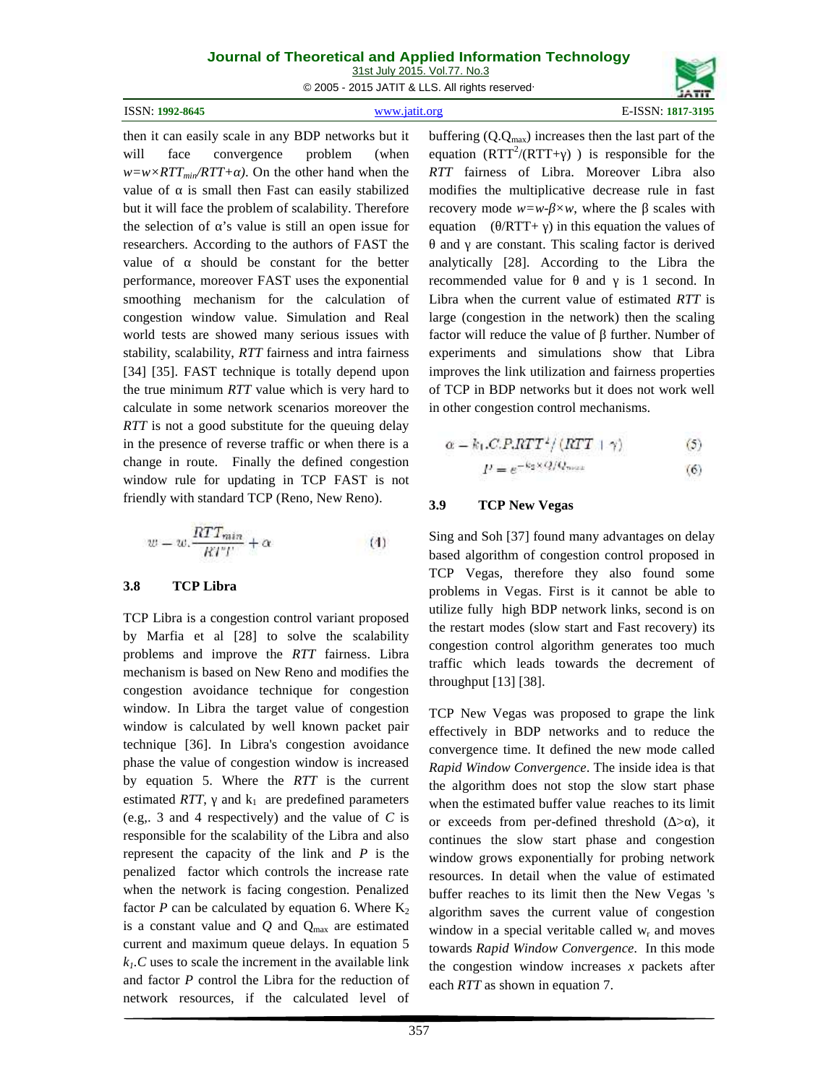31st July 2015. Vol.77. No.3

© 2005 - 2015 JATIT & LLS. All rights reserved.

| ISSN:<br>1992-8645<br>.<br>the contract of the contract of the | \$195 |
|----------------------------------------------------------------|-------|
|                                                                |       |

then it can easily scale in any BDP networks but it will face convergence problem (when  $w=w\times RTT_{min}/RTT+$  ). On the other hand when the value of is small then Fast can easily stabilized but it will face the problem of scalability. Therefore the selection of 's value is still an open issue for researchers. According to the authors of FAST the value of should be constant for the better performance, moreover FAST uses the exponential smoothing mechanism for the calculation of congestion window value. Simulation and Real world tests are showed many serious issues with stability, scalability, *RTT* fairness and intra fairness [34] [35]. FAST technique is totally depend upon the true minimum *RTT* value which is very hard to calculate in some network scenarios moreover the *RTT* is not a good substitute for the queuing delay in the presence of reverse traffic or when there is a change in route. Finally the defined congestion window rule for updating in TCP FAST is not friendly with standard TCP (Reno, New Reno).

$$
w = w \cdot \frac{RTT_{min}}{RTT} + \alpha \tag{4}
$$

### **3.8 TCP Libra**

TCP Libra is a congestion control variant proposed by Marfia et al [28] to solve the scalability problems and improve the *RTT* fairness. Libra mechanism is based on New Reno and modifies the congestion avoidance technique for congestion window. In Libra the target value of congestion window is calculated by well known packet pair technique [36]. In Libra's congestion avoidance phase the value of congestion window is increased by equation 5. Where the *RTT* is the current estimated *RTT*, and  $k_1$  are predefined parameters (e.g,. 3 and 4 respectively) and the value of *C* is responsible for the scalability of the Libra and also represent the capacity of the link and *P* is the penalized factor which controls the increase rate when the network is facing congestion. Penalized factor  $P$  can be calculated by equation 6. Where  $K_2$ is a constant value and  $Q$  and  $Q_{\text{max}}$  are estimated current and maximum queue delays. In equation 5  $k<sub>1</sub>$ *c* uses to scale the increment in the available link and factor *P* control the Libra for the reduction of network resources, if the calculated level of buffering  $(Q.Q_{max})$  increases then the last part of the equation  $(RTT^2/(RTT+$  ) is responsible for the *RTT* fairness of Libra. Moreover Libra also modifies the multiplicative decrease rule in fast recovery mode  $w=w-xw$ , where the scales with equation  $($  /RTT+  $)$  in this equation the values of

and are constant. This scaling factor is derived analytically [28]. According to the Libra the recommended value for and is 1 second. In Libra when the current value of estimated *RTT* is large (congestion in the network) then the scaling factor will reduce the value of further. Number of experiments and simulations show that Libra improves the link utilization and fairness properties of TCP in BDP networks but it does not work well in other congestion control mechanisms.

$$
\alpha = k_1.C.P.RTT^2/(RTT + \gamma) \tag{5}
$$

$$
P = e^{-k_2 \times Q/Q_{\text{max}}} \tag{6}
$$

### **3.9 TCP New Vegas**

Sing and Soh [37] found many advantages on delay based algorithm of congestion control proposed in TCP Vegas, therefore they also found some problems in Vegas. First is it cannot be able to utilize fully high BDP network links, second is on the restart modes (slow start and Fast recovery) its congestion control algorithm generates too much traffic which leads towards the decrement of throughput [13] [38].

TCP New Vegas was proposed to grape the link effectively in BDP networks and to reduce the convergence time. It defined the new mode called *Rapid Window Convergence*. The inside idea is that the algorithm does not stop the slow start phase when the estimated buffer value reaches to its limit or exceeds from per-defined threshold  $($  >  $)$ , it continues the slow start phase and congestion window grows exponentially for probing network resources. In detail when the value of estimated buffer reaches to its limit then the New Vegas 's algorithm saves the current value of congestion window in a special veritable called  $w_r$  and moves towards *Rapid Window Convergence.* In this mode the congestion window increases *x* packets after each *RTT* as shown in equation 7.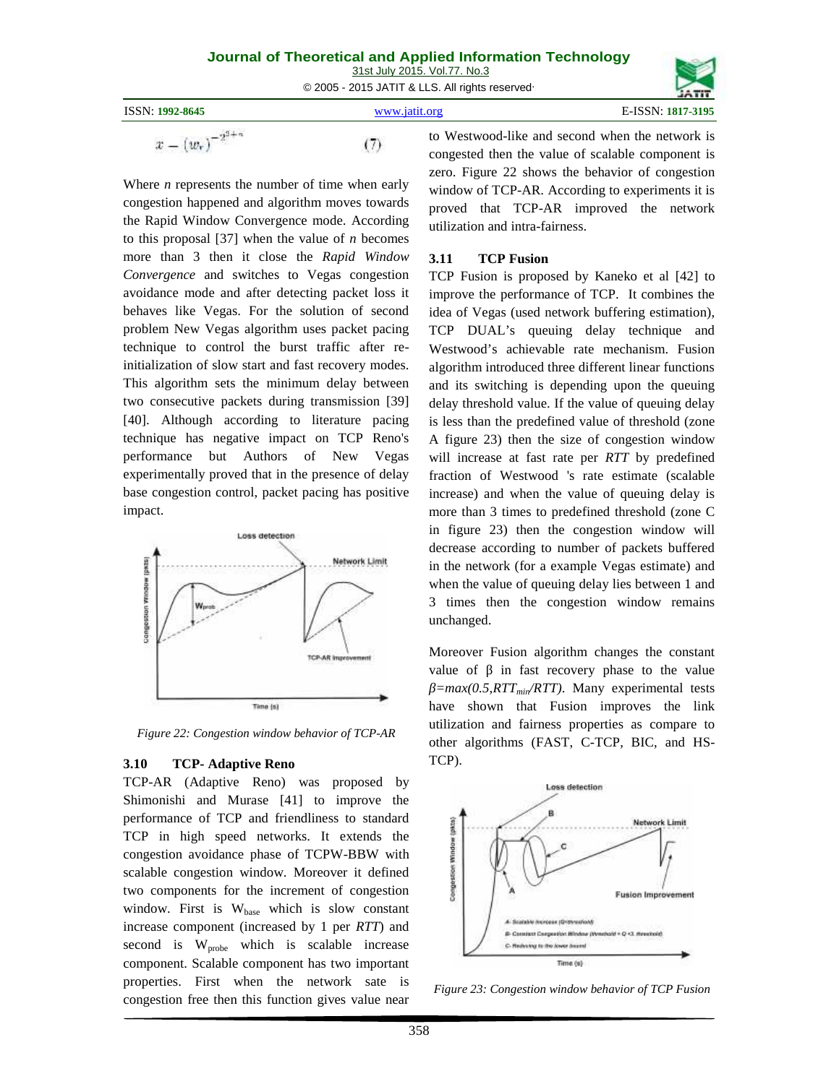|                        | 31st July 2015. Vol.77. No.3<br>© 2005 - 2015 JATIT & LLS. All rights reserved                                                                                                                                                                                                     |                   |
|------------------------|------------------------------------------------------------------------------------------------------------------------------------------------------------------------------------------------------------------------------------------------------------------------------------|-------------------|
| <b>ISSN: 1992-8645</b> | www.jatit.org                                                                                                                                                                                                                                                                      | E-ISSN: 1817-3195 |
|                        | to Westwood-like and second when the network is<br>$\sim$ . The contract of the contract of the contract of the contract of the contract of the contract of the contract of the contract of the contract of the contract of the contract of the contract of the contract of the co |                   |

Where *n* represents the number of time when early congestion happened and algorithm moves towards the Rapid Window Convergence mode. According to this proposal [37] when the value of *n* becomes more than 3 then it close the *Rapid Window Convergence* and switches to Vegas congestion avoidance mode and after detecting packet loss it behaves like Vegas. For the solution of second problem New Vegas algorithm uses packet pacing technique to control the burst traffic after reinitialization of slow start and fast recovery modes. This algorithm sets the minimum delay between two consecutive packets during transmission [39] [40]. Although according to literature pacing technique has negative impact on TCP Reno's performance but Authors of New Vegas experimentally proved that in the presence of delay base congestion control, packet pacing has positive impact.



*Figure 22: Congestion window behavior of TCP-AR*

## **3.10 TCP- Adaptive Reno**

TCP-AR (Adaptive Reno) was proposed by Shimonishi and Murase [41] to improve the performance of TCP and friendliness to standard<br>TCP in high speed networks. It extends the<br>congestion avoidance phase of TCPW-BBW with TCP in high speed networks. It extends the congestion avoidance phase of TCPW-BBW with scalable congestion window. Moreover it defined<br>two components for the increment of congestion two components for the increment of congestion window. First is  $W_{base}$  which is slow constant increase component (increased by 1 per *RTT*) and second is  $W_{\text{probe}}$  which is scalable increase component. Scalable component has two important properties. First when the network sate is congestion free then this function gives value near

to Westwood-like and second when the network is congested then the value of scalable component is zero. Figure 22 shows the behavior of congestion window of TCP-AR. According to experiments it is proved that TCP-AR improved the network utilization and intra-fairness.

## **3.11 TCP Fusion**

TCP Fusion is proposed by Kaneko et al [42] to improve the performance of TCP. It combines the idea of Vegas (used network buffering estimation), TCP DUAL's queuing delay technique and Westwood's achievable rate mechanism. Fusion algorithm introduced three different linear functions and its switching is depending upon the queuing delay threshold value. If the value of queuing delay is less than the predefined value of threshold (zone A figure 23) then the size of congestion window will increase at fast rate per *RTT* by predefined fraction of Westwood 's rate estimate (scalable increase) and when the value of queuing delay is more than 3 times to predefined threshold (zone C in figure 23) then the congestion window will decrease according to number of packets buffered in the network (for a example Vegas estimate) and when the value of queuing delay lies between 1 and 3 times then the congestion window remains unchanged.

Moreover Fusion algorithm changes the constant value of in fast recovery phase to the value *β=max(0.5,RTTmin/RTT)*. Many experimental tests have shown that Fusion improves the link utilization and fairness properties as compare to other algorithms (FAST, C-TCP, BIC, and HS- TCP).



*Figure 23: Congestion window behavior of TCP Fusion*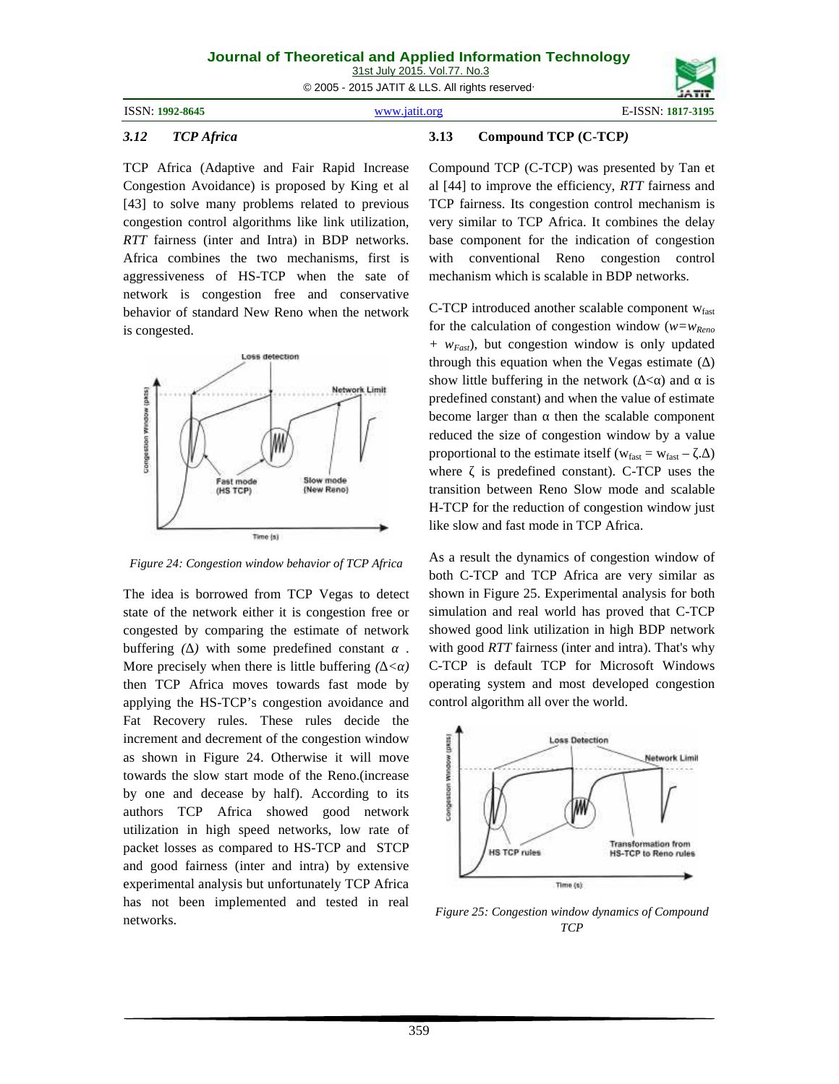31st July 2015. Vol.77. No.3

© 2005 - 2015 JATIT & LLS. All rights reserved.

ISSN: **1992-8645** www.jatit.org E-ISSN: **1817-3195**



### *3.12 TCP Africa*

TCP Africa (Adaptive and Fair Rapid Increase Congestion Avoidance) is proposed by King et al [43] to solve many problems related to previous congestion control algorithms like link utilization, *RTT* fairness (inter and Intra) in BDP networks. Africa combines the two mechanisms, first is aggressiveness of HS-TCP when the sate of network is congestion free and conservative behavior of standard New Reno when the network is congested.



*Figure 24: Congestion window behavior of TCP Africa*

The idea is borrowed from TCP Vegas to detect state of the network either it is congestion free or congested by comparing the estimate of network buffering *(∆)* with some predefined constant . More precisely when there is little buffering  $\ell$  < *f* then TCP Africa moves towards fast mode by applying the HS-TCP's congestion avoidance and Fat Recovery rules. These rules decide the increment and decrement of the congestion window<br>as shown in Figure 24. Otherwise it will move<br>towards the slow start mode of the Reno.(increase<br>by one and decease by half). According to its<br>authors TCP Africa showed good as shown in Figure 24. Otherwise it will move towards the slow start mode of the Reno.(increase by one and decease by half). According to its authors TCP Africa showed good network utilization in high speed networks, low rate of packet losses as compared to HS-TCP and STCP and good fairness (inter and intra) by extensive experimental analysis but unfortunately TCP Africa has not been implemented and tested in real networks.

### **3.13 Compound TCP (C-TCP***)*

Compound TCP (C-TCP) was presented by Tan et al [44] to improve the efficiency, *RTT* fairness and TCP fairness. Its congestion control mechanism is very similar to TCP Africa. It combines the delay base component for the indication of congestion with conventional Reno congestion control mechanism which is scalable in BDP networks.

C-TCP introduced another scalable component  $w_{\text{fast}}$ for the calculation of congestion window (*w=wReno + wFast*), but congestion window is only updated through this equation when the Vegas estimate (∆) show little buffering in the network  $( $$ ) and is$ predefined constant) and when the value of estimate become larger than then the scalable component reduced the size of congestion window by a value proportional to the estimate itself ( $w_{fast} = w_{fast} - \ldots$ ) where is predefined constant). C-TCP uses the transition between Reno Slow mode and scalable H-TCP for the reduction of congestion window just like slow and fast mode in TCP Africa.

As a result the dynamics of congestion window of both C-TCP and TCP Africa are very similar as shown in Figure 25. Experimental analysis for both simulation and real world has proved that C-TCP showed good link utilization in high BDP network with good *RTT* fairness (inter and intra). That's why C-TCP is default TCP for Microsoft Windows operating system and most developed congestion control algorithm all over the world.



*Figure 25: Congestion window dynamics of Compound TCP*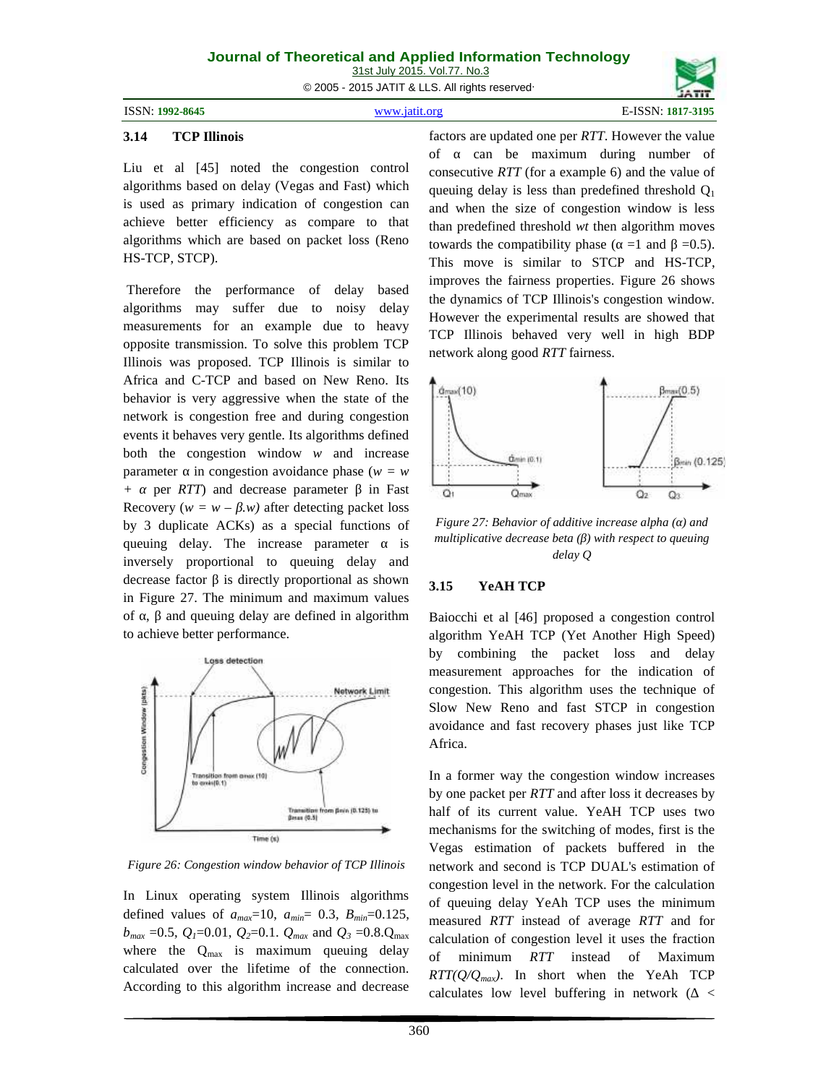### **Journal of Theoretical and Applied Information Technology** 31st July 2015. Vol.77. No.3

© 2005 - 2015 JATIT & LLS. All rights reserved.

| ISSN: 1992-8645 |  |
|-----------------|--|
|                 |  |

ISSN: **1992-8645** www.jatit.org E-ISSN: **1817-3195**

### **3.14 TCP Illinois**

Liu et al [45] noted the congestion control algorithms based on delay (Vegas and Fast) which is used as primary indication of congestion can achieve better efficiency as compare to that algorithms which are based on packet loss (Reno HS-TCP, STCP).

Therefore the performance of delay based algorithms may suffer due to noisy delay measurements for an example due to heavy opposite transmission. To solve this problem TCP Illinois was proposed. TCP Illinois is similar to Africa and C-TCP and based on New Reno. Its  $\uparrow$  dmax(10) behavior is very aggressive when the state of the network is congestion free and during congestion events it behaves very gentle. Its algorithms defined both the congestion window *w* and increase parameter in congestion avoidance phase  $(w = w)$ *+ α* per *RTT*) and decrease parameter in Fast Recovery  $(w = w - w)$  after detecting packet loss by 3 duplicate ACKs) as a special functions of queuing delay. The increase parameter is inversely proportional to queuing delay and decrease factor is directly proportional as shown  $3.15$ in Figure 27. The minimum and maximum values of, and queuing delay are defined in algorithm to achieve better performance.



*Figure 26: Congestion window behavior of TCP Illinois*

In Linux operating system Illinois algorithms defined values of *amax*=10, *amin*= 0.3, *Bmin*=0.125,  $b_{max}$  =0.5,  $Q_1$ =0.01,  $Q_2$ =0.1.  $Q_{max}$  and  $Q_3$  =0.8. $Q_{max}$ where the  $Q_{\text{max}}$  is maximum queuing delay of minimum calculated over the lifetime of the connection. According to this algorithm increase and decrease

factors are updated one per *RTT*. However the value of can be maximum during number of consecutive *RTT* (for a example 6) and the value of queuing delay is less than predefined threshold  $Q_1$ and when the size of congestion window is less than predefined threshold *wt* then algorithm moves towards the compatibility phase  $($  =1 and =0.5). This move is similar to STCP and HS-TCP, improves the fairness properties. Figure 26 shows the dynamics of TCP Illinois's congestion window. However the experimental results are showed that TCP Illinois behaved very well in high BDP network along good *RTT* fairness.



*Figure 27: Behavior of additive increase alpha (α) and multiplicative decrease beta*  $($ *) with respect to queuing delay Q*

### **3.15 YeAH TCP**

Baiocchi et al [46] proposed a congestion control algorithm YeAH TCP (Yet Another High Speed) by combining the packet loss and delay measurement approaches for the indication of congestion. This algorithm uses the technique of Slow New Reno and fast STCP in congestion avoidance and fast recovery phases just like TCP Africa.

In a former way the congestion window increases by one packet per *RTT* and after loss it decreases by half of its current value. YeAH TCP uses two mechanisms for the switching of modes, first is the Vegas estimation of packets buffered in the network and second is TCP DUAL's estimation of congestion level in the network. For the calculation of queuing delay YeAh TCP uses the minimum measured *RTT* instead of average *RTT* and for calculation of congestion level it uses the fraction of minimum *RTT* instead of Maximum  $RTT(Q/Q_{max})$ . In short when the YeAh TCP calculates low level buffering in network ( <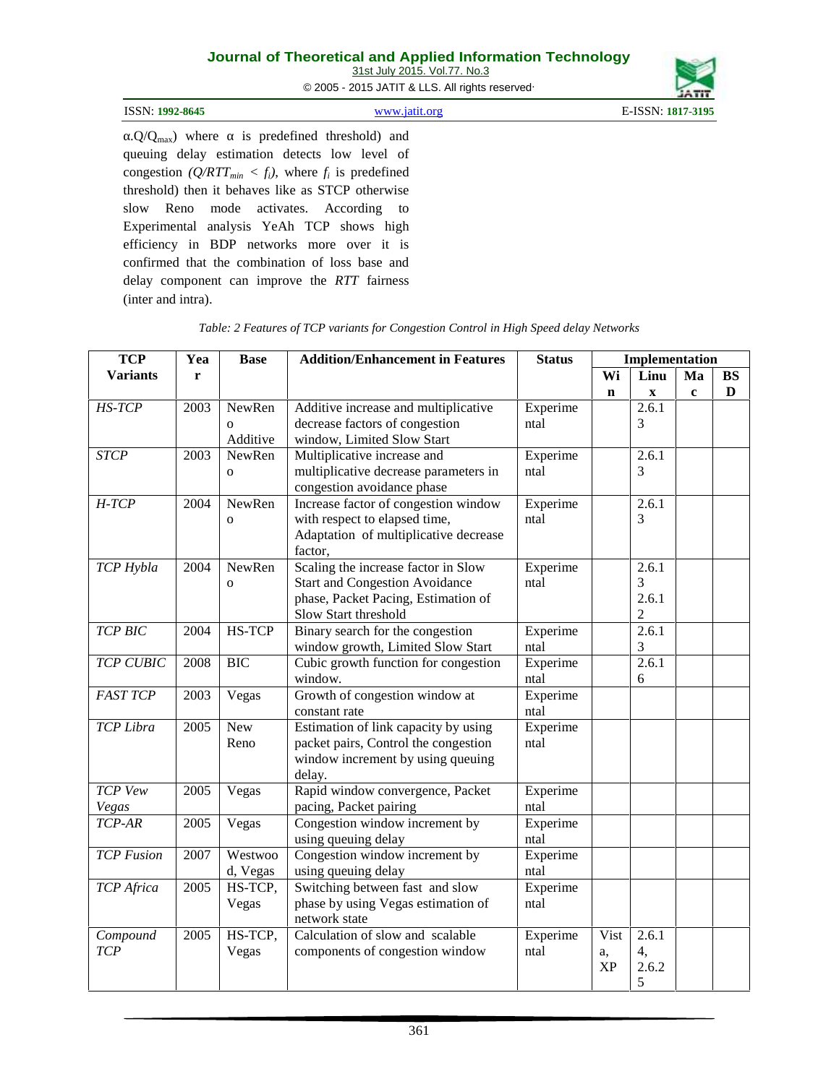31st July 2015. Vol.77. No.3

© 2005 - 2015 JATIT & LLS. All rights reserved.

| ISSN: 1992-8645 | www 19f1f oro | 1817-3195 |
|-----------------|---------------|-----------|
|                 |               |           |

 $\Omega/Q_{\text{max}}$ ) where is predefined threshold) and queuing delay estimation detects low level of congestion  $(Q/RTT_{min} < f_i)$ , where  $f_i$  is predefined threshold) then it behaves like as STCP otherwise slow Reno mode activates. According to Experimental analysis YeAh TCP shows high efficiency in BDP networks more over it is confirmed that the combination of loss base and delay component can improve the *RTT* fairness (inter and intra).

| <b>TCP</b>        | Yea  | <b>Base</b>  | <b>Addition/Enhancement in Features</b> | <b>Status</b> |             | Implementation |             |           |
|-------------------|------|--------------|-----------------------------------------|---------------|-------------|----------------|-------------|-----------|
| <b>Variants</b>   | r    |              |                                         |               | Wi          | Linu           | Ma          | <b>BS</b> |
|                   |      |              |                                         |               | $\mathbf n$ | $\mathbf X$    | $\mathbf c$ | D         |
| HS-TCP            | 2003 | NewRen       | Additive increase and multiplicative    | Experime      |             | 2.6.1          |             |           |
|                   |      | $\Omega$     | decrease factors of congestion          | ntal          |             | 3              |             |           |
|                   |      | Additive     | window, Limited Slow Start              |               |             |                |             |           |
| <b>STCP</b>       | 2003 | NewRen       | Multiplicative increase and             | Experime      |             | 2.6.1          |             |           |
|                   |      | $\mathbf{o}$ | multiplicative decrease parameters in   | ntal          |             | 3              |             |           |
|                   |      |              | congestion avoidance phase              |               |             |                |             |           |
| $H$ -TCP          | 2004 | NewRen       | Increase factor of congestion window    | Experime      |             | 2.6.1          |             |           |
|                   |      | $\mathbf{O}$ | with respect to elapsed time,           | ntal          |             | 3              |             |           |
|                   |      |              | Adaptation of multiplicative decrease   |               |             |                |             |           |
|                   |      |              | factor,                                 |               |             |                |             |           |
| TCP Hybla         | 2004 | NewRen       | Scaling the increase factor in Slow     | Experime      |             | 2.6.1          |             |           |
|                   |      | $\Omega$     | <b>Start and Congestion Avoidance</b>   | ntal          |             | 3              |             |           |
|                   |      |              | phase, Packet Pacing, Estimation of     |               |             | 2.6.1          |             |           |
|                   |      |              | Slow Start threshold                    |               |             | $\overline{c}$ |             |           |
| <b>TCP BIC</b>    | 2004 | HS-TCP       | Binary search for the congestion        | Experime      |             | 2.6.1          |             |           |
|                   |      |              | window growth, Limited Slow Start       | ntal          |             | 3              |             |           |
| <b>TCP CUBIC</b>  | 2008 | <b>BIC</b>   | Cubic growth function for congestion    | Experime      |             | 2.6.1          |             |           |
|                   |      |              | window.                                 | ntal          |             | 6              |             |           |
| <b>FAST TCP</b>   | 2003 | Vegas        | Growth of congestion window at          | Experime      |             |                |             |           |
|                   |      |              | constant rate                           | ntal          |             |                |             |           |
| TCP Libra         | 2005 | New          | Estimation of link capacity by using    | Experime      |             |                |             |           |
|                   |      | Reno         | packet pairs, Control the congestion    | ntal          |             |                |             |           |
|                   |      |              | window increment by using queuing       |               |             |                |             |           |
|                   |      |              | delay.                                  |               |             |                |             |           |
| TCP Vew           | 2005 | Vegas        | Rapid window convergence, Packet        | Experime      |             |                |             |           |
| Vegas             |      |              | pacing, Packet pairing                  | ntal          |             |                |             |           |
| TCP-AR            | 2005 | Vegas        | Congestion window increment by          | Experime      |             |                |             |           |
|                   |      |              | using queuing delay                     | ntal          |             |                |             |           |
| <b>TCP</b> Fusion | 2007 | Westwoo      | Congestion window increment by          | Experime      |             |                |             |           |
|                   |      | d, Vegas     | using queuing delay                     | ntal          |             |                |             |           |
| TCP Africa        | 2005 | HS-TCP,      | Switching between fast and slow         | Experime      |             |                |             |           |
|                   |      | Vegas        | phase by using Vegas estimation of      | ntal          |             |                |             |           |
|                   |      |              | network state                           |               |             |                |             |           |
| Compound          | 2005 | HS-TCP,      | Calculation of slow and scalable        | Experime      | Vist        | 2.6.1          |             |           |
| <b>TCP</b>        |      | Vegas        | components of congestion window         | ntal          | a,          | 4,             |             |           |
|                   |      |              |                                         |               | XP          | 2.6.2          |             |           |
|                   |      |              |                                         |               |             | 5              |             |           |

*Table: 2 Features of TCP variants for Congestion Control in High Speed delay Networks*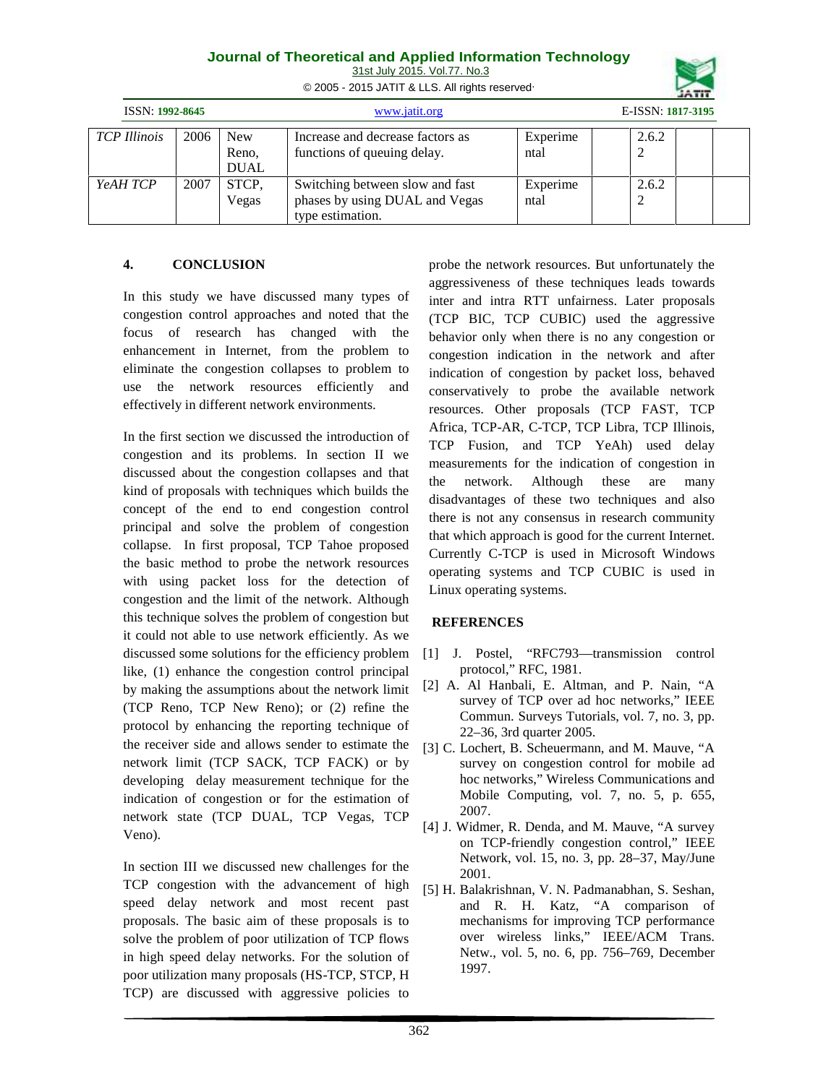| Journal of Theoretical and Applied Information Technology |  |
|-----------------------------------------------------------|--|
| 31st July 2015. Vol.77. No.3                              |  |

© 2005 - 2015 JATIT & LLS. All rights reserved.

|                     |      |                                    |                                                                                       |                  | 30111             |
|---------------------|------|------------------------------------|---------------------------------------------------------------------------------------|------------------|-------------------|
| ISSN: 1992-8645     |      |                                    | www.jatit.org                                                                         |                  | E-ISSN: 1817-3195 |
| <b>TCP</b> Illinois | 2006 | <b>New</b><br>Reno,<br><b>DUAL</b> | Increase and decrease factors as<br>functions of queuing delay.                       | Experime<br>ntal | 2.6.2             |
| YeAH TCP            | 2007 | STCP,<br>Vegas                     | Switching between slow and fast<br>phases by using DUAL and Vegas<br>type estimation. | Experime<br>ntal | 2.6.2             |

## **4. CONCLUSION**

In this study we have discussed many types of congestion control approaches and noted that the focus of research has changed with the enhancement in Internet, from the problem to eliminate the congestion collapses to problem to use the network resources efficiently and effectively in different network environments.

In the first section we discussed the introduction of congestion and its problems. In section II we discussed about the congestion collapses and that the kind of proposals with techniques which builds the concept of the end to end congestion control principal and solve the problem of congestion collapse. In first proposal, TCP Tahoe proposed the basic method to probe the network resources with using packet loss for the detection of congestion and the limit of the network. Although this technique solves the problem of congestion but it could not able to use network efficiently. As we discussed some solutions for the efficiency problem like, (1) enhance the congestion control principal by making the assumptions about the network limit (TCP Reno, TCP New Reno); or (2) refine the protocol by enhancing the reporting technique of the receiver side and allows sender to estimate the network limit (TCP SACK, TCP FACK) or by developing delay measurement technique for the indication of congestion or for the estimation of network state (TCP DUAL, TCP Vegas, TCP Veno).

In section III we discussed new challenges for the TCP congestion with the advancement of high speed delay network and most recent past proposals. The basic aim of these proposals is to solve the problem of poor utilization of TCP flows in high speed delay networks. For the solution of poor utilization many proposals (HS-TCP, STCP, H TCP) are discussed with aggressive policies to

probe the network resources. But unfortunately the aggressiveness of these techniques leads towards inter and intra RTT unfairness. Later proposals (TCP BIC, TCP CUBIC) used the aggressive behavior only when there is no any congestion or congestion indication in the network and after indication of congestion by packet loss, behaved conservatively to probe the available network resources. Other proposals (TCP FAST, TCP Africa, TCP-AR, C-TCP, TCP Libra, TCP Illinois, TCP Fusion, and TCP YeAh) used delay measurements for the indication of congestion in network. Although these are many disadvantages of these two techniques and also there is not any consensus in research community that which approach is good for the current Internet. Currently C-TCP is used in Microsoft Windows operating systems and TCP CUBIC is used in Linux operating systems.

## **REFERENCES**

- [1] J. Postel, "RFC793—transmission control protocol," RFC, 1981.
- [2] A. Al Hanbali, E. Altman, and P. Nain, "A survey of TCP over ad hoc networks," IEEE Commun. Surveys Tutorials, vol. 7, no. 3, pp. 22–36, 3rd quarter 2005.
- [3] C. Lochert, B. Scheuermann, and M. Mauve, "A survey on congestion control for mobile ad hoc networks," Wireless Communications and Mobile Computing, vol. 7, no. 5, p. 655, 2007.
- [4] J. Widmer, R. Denda, and M. Mauve, "A survey on TCP-friendly congestion control," IEEE Network, vol. 15, no. 3, pp. 28–37, May/June 2001.
- [5] H. Balakrishnan, V. N. Padmanabhan, S. Seshan, and R. H. Katz, "A comparison of mechanisms for improving TCP performance over wireless links," IEEE/ACM Trans. Netw., vol. 5, no. 6, pp. 756–769, December 1997.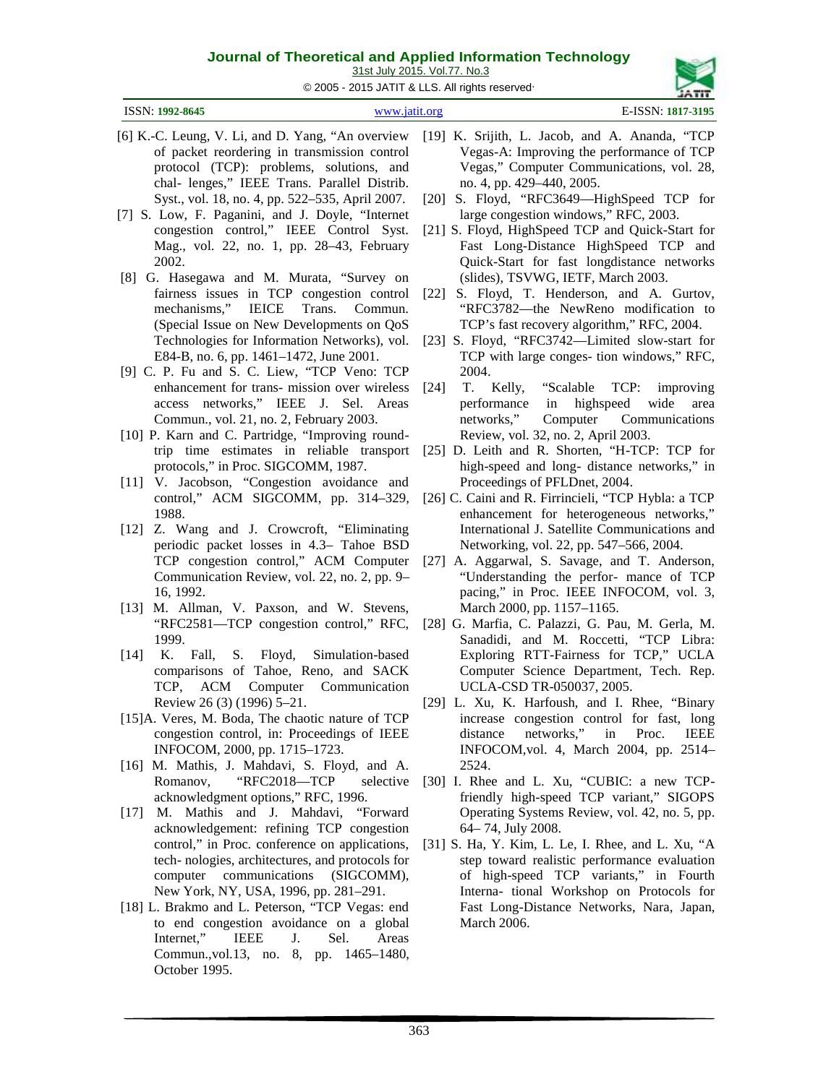© 2005 - 2015 JATIT & LLS. All rights reserved.

31st July 2015. Vol.77. No.3

| ISSN: 1992-8645 | itit oro | $\Gamma$ TOOM $\sim$<br>1817-3195 |
|-----------------|----------|-----------------------------------|
|                 |          |                                   |

- [6] K.-C. Leung, V. Li, and D. Yang, "An overview of packet reordering in transmission control protocol (TCP): problems, solutions, and chal- lenges," IEEE Trans. Parallel Distrib. Syst., vol. 18, no. 4, pp. 522–535, April 2007.
- [7] S. Low, F. Paganini, and J. Doyle, "Internet congestion control," IEEE Control Syst. Mag., vol. 22, no. 1, pp. 28–43, February 2002.
- [8] G. Hasegawa and M. Murata, "Survey on fairness issues in TCP congestion control mechanisms," IEICE Trans. Commun. (Special Issue on New Developments on QoS E84-B, no. 6, pp. 1461–1472, June 2001.
- [9] C. P. Fu and S. C. Liew, "TCP Veno: TCP enhancement for trans- mission over wireless [24] access networks," IEEE J. Sel. Areas Commun., vol. 21, no. 2, February 2003.
- [10] P. Karn and C. Partridge, "Improving roundtrip time estimates in reliable transport protocols," in Proc. SIGCOMM, 1987.
- [11] V. Jacobson, "Congestion avoidance and control," ACM SIGCOMM, pp. 314–329, 1988.
- [12] Z. Wang and J. Crowcroft, "Eliminating periodic packet losses in 4.3– Tahoe BSD Communication Review, vol. 22, no. 2, pp. 9– 16, 1992.
- [13] M. Allman, V. Paxson, and W. Stevens, "RFC2581—TCP congestion control," RFC, 1999.
- [14] K. Fall, S. Floyd, Simulation-based comparisons of Tahoe, Reno, and SACK TCP, ACM Computer Communication Review 26 (3) (1996) 5–21.
- [15]A. Veres, M. Boda, The chaotic nature of TCP congestion control, in: Proceedings of IEEE INFOCOM, 2000, pp. 1715–1723.
- [16] M. Mathis, J. Mahdavi, S. Floyd, and A. Romanov, "RFC2018—TCP selective acknowledgment options," RFC, 1996.
- [17] M. Mathis and J. Mahdavi, "Forward acknowledgement: refining TCP congestion control," in Proc. conference on applications, tech- nologies, architectures, and protocols for computer communications (SIGCOMM), New York, NY, USA, 1996, pp. 281–291.
- [18] L. Brakmo and L. Peterson, "TCP Vegas: end to end congestion avoidance on a global Internet," IEEE J. Sel. Areas Commun.,vol.13, no. 8, pp. 1465–1480, October 1995.
- [19] K. Srijith, L. Jacob, and A. Ananda, "TCP Vegas-A: Improving the performance of TCP Vegas," Computer Communications, vol. 28, no. 4, pp. 429–440, 2005.
- [20] S. Floyd, "RFC3649—HighSpeed TCP for large congestion windows," RFC, 2003.
- [21] S. Floyd, HighSpeed TCP and Quick-Start for Fast Long-Distance HighSpeed TCP and Quick-Start for fast longdistance networks (slides), TSVWG, IETF, March 2003.
- [22] S. Floyd, T. Henderson, and A. Gurtov, "RFC3782—the NewReno modification to TCP's fast recovery algorithm," RFC, 2004.
- Technologies for Information Networks), vol. [23] S. Floyd, "RFC3742—Limited slow-start for TCP with large conges- tion windows," RFC, 2004.
	- T. Kelly, "Scalable TCP: improving performance in highspeed wide area networks," Computer Communications Review, vol. 32, no. 2, April 2003.
	- [25] D. Leith and R. Shorten, "H-TCP: TCP for high-speed and long- distance networks," in Proceedings of PFLDnet, 2004.
	- [26] C. Caini and R. Firrincieli, "TCP Hybla: a TCP enhancement for heterogeneous networks," International J. Satellite Communications and Networking, vol. 22, pp. 547–566, 2004.
- TCP congestion control," ACM Computer [27] A. Aggarwal, S. Savage, and T. Anderson, "Understanding the perfor- mance of TCP pacing," in Proc. IEEE INFOCOM, vol. 3, March 2000, pp. 1157–1165.
	- [28] G. Marfia, C. Palazzi, G. Pau, M. Gerla, M. Sanadidi, and M. Roccetti, "TCP Libra: Exploring RTT-Fairness for TCP," UCLA Computer Science Department, Tech. Rep. UCLA-CSD TR-050037, 2005.
	- [29] L. Xu, K. Harfoush, and I. Rhee, "Binary increase congestion control for fast, long networks," in Proc. IEEE INFOCOM,vol. 4, March 2004, pp. 2514– 2524.
	- [30] I. Rhee and L. Xu, "CUBIC: a new TCPfriendly high-speed TCP variant," SIGOPS Operating Systems Review, vol. 42, no. 5, pp. 64– 74, July 2008.
	- [31] S. Ha, Y. Kim, L. Le, I. Rhee, and L. Xu, "A step toward realistic performance evaluation of high-speed TCP variants," in Fourth Interna- tional Workshop on Protocols for Fast Long-Distance Networks, Nara, Japan, March 2006.